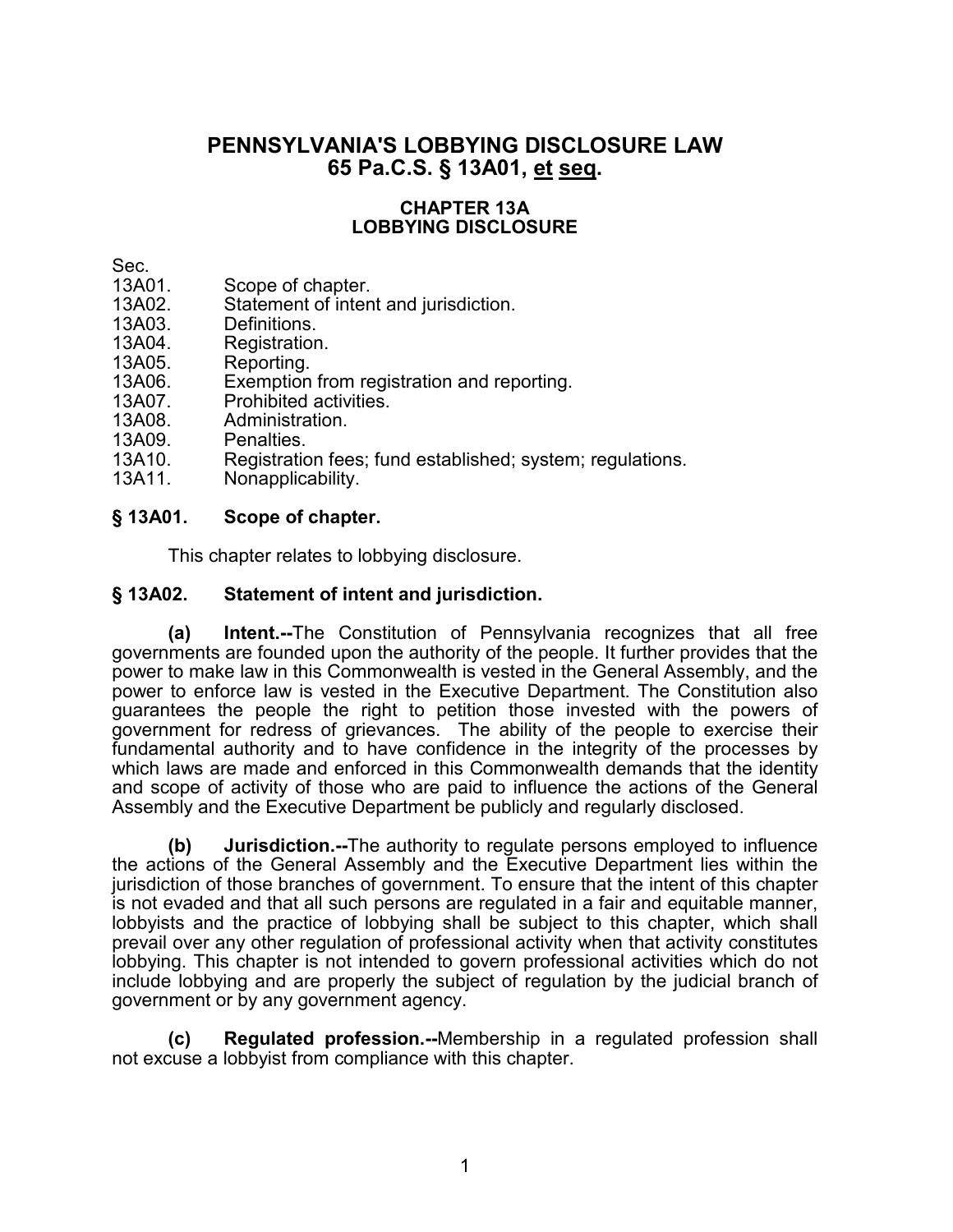# **PENNSYLVANIA'S LOBBYING DISCLOSURE LAW 65 Pa.C.S. § 13A01, et seq.**

#### **CHAPTER 13A LOBBYING DISCLOSURE**

- Sec.<br>13A01.
- 13A01. Scope of chapter.<br>13A02. Statement of inten 13A02. Statement of intent and jurisdiction.<br>13A03. Definitions.
- 
- 13A03. Definitions.<br>13A04. Registration 13A04. Registration.<br>13A05 Reporting
- 13A05. Reporting.<br>13A06. Exemption
- 13A06. Exemption from registration and reporting.<br>13A07. Prohibited activities.
- 13A07. Prohibited activities.
- Administration.
- 
- 13A09. Penalties.<br>13A10. Registratio 13A10. Registration fees; fund established; system; regulations.<br>13A11. Nonapplicability.
- Nonapplicability.

## **§ 13A01. Scope of chapter.**

This chapter relates to lobbying disclosure.

## **§ 13A02. Statement of intent and jurisdiction.**

**(a) Intent.--**The Constitution of Pennsylvania recognizes that all free governments are founded upon the authority of the people. It further provides that the power to make law in this Commonwealth is vested in the General Assembly, and the power to enforce law is vested in the Executive Department. The Constitution also guarantees the people the right to petition those invested with the powers of government for redress of grievances. The ability of the people to exercise their fundamental authority and to have confidence in the integrity of the processes by which laws are made and enforced in this Commonwealth demands that the identity and scope of activity of those who are paid to influence the actions of the General Assembly and the Executive Department be publicly and regularly disclosed.

**(b) Jurisdiction.--**The authority to regulate persons employed to influence the actions of the General Assembly and the Executive Department lies within the jurisdiction of those branches of government. To ensure that the intent of this chapter is not evaded and that all such persons are regulated in a fair and equitable manner, lobbyists and the practice of lobbying shall be subject to this chapter, which shall prevail over any other regulation of professional activity when that activity constitutes lobbying. This chapter is not intended to govern professional activities which do not include lobbying and are properly the subject of regulation by the judicial branch of government or by any government agency.

**(c) Regulated profession.--**Membership in a regulated profession shall not excuse a lobbyist from compliance with this chapter.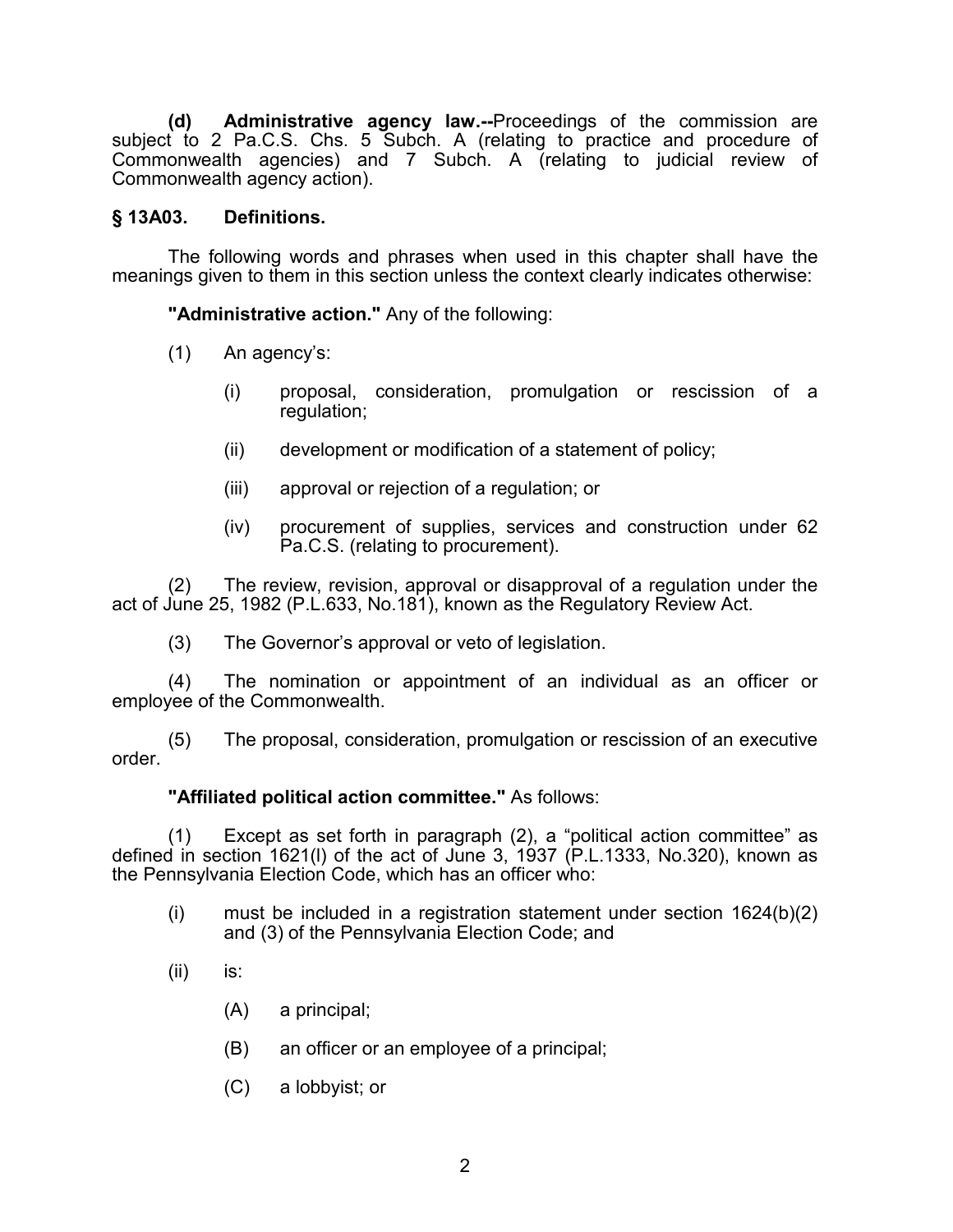**(d) Administrative agency law.--**Proceedings of the commission are subject to 2 Pa.C.S. Chs. 5 Subch. A (relating to practice and procedure of Commonwealth agencies) and 7 Subch. A (relating to judicial review of Commonwealth agency action).

### **§ 13A03. Definitions.**

The following words and phrases when used in this chapter shall have the meanings given to them in this section unless the context clearly indicates otherwise:

**"Administrative action."** Any of the following:

- (1) An agency's:
	- (i) proposal, consideration, promulgation or rescission of a regulation;
	- (ii) development or modification of a statement of policy;
	- (iii) approval or rejection of a regulation; or
	- (iv) procurement of supplies, services and construction under 62 Pa.C.S. (relating to procurement).

The review, revision, approval or disapproval of a regulation under the act of June 25, 1982 (P.L.633, No.181), known as the Regulatory Review Act.

(3) The Governor's approval or veto of legislation.

(4) The nomination or appointment of an individual as an officer or employee of the Commonwealth.

(5) The proposal, consideration, promulgation or rescission of an executive order.

#### **"Affiliated political action committee."** As follows:

(1) Except as set forth in paragraph (2), a "political action committee" as defined in section 1621(l) of the act of June 3, 1937 (P.L.1333, No.320), known as the Pennsylvania Election Code, which has an officer who:

- (i) must be included in a registration statement under section 1624(b)(2) and (3) of the Pennsylvania Election Code; and
- (ii) is:
	- (A) a principal;
	- (B) an officer or an employee of a principal;
	- (C) a lobbyist; or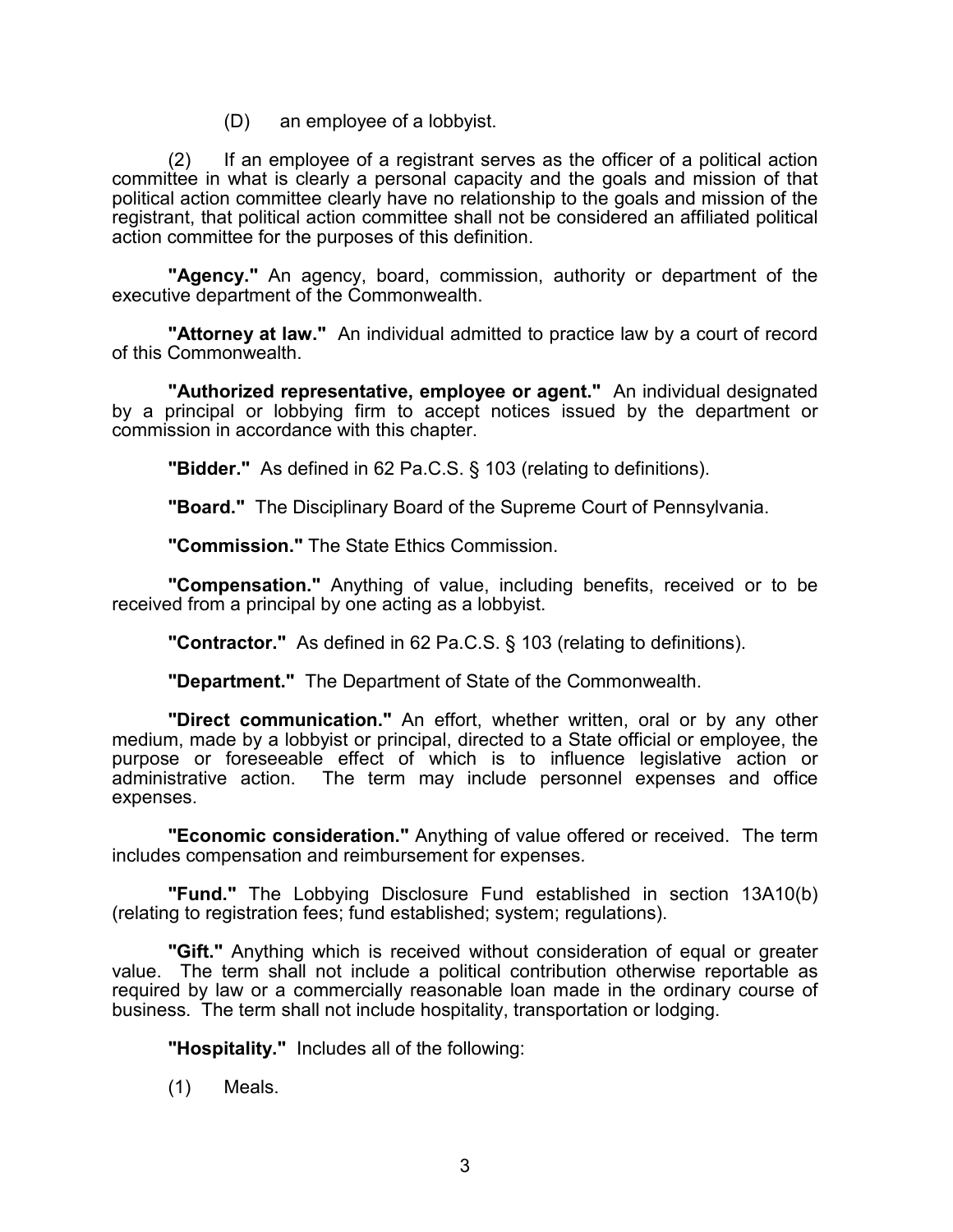(D) an employee of a lobbyist.

(2) If an employee of a registrant serves as the officer of a political action committee in what is clearly a personal capacity and the goals and mission of that political action committee clearly have no relationship to the goals and mission of the registrant, that political action committee shall not be considered an affiliated political action committee for the purposes of this definition.

**"Agency."** An agency, board, commission, authority or department of the executive department of the Commonwealth.

**"Attorney at law."** An individual admitted to practice law by a court of record of this Commonwealth.

**"Authorized representative, employee or agent."** An individual designated by a principal or lobbying firm to accept notices issued by the department or commission in accordance with this chapter.

**"Bidder."** As defined in 62 Pa.C.S. § 103 (relating to definitions).

**"Board."** The Disciplinary Board of the Supreme Court of Pennsylvania.

**"Commission."** The State Ethics Commission.

**"Compensation."** Anything of value, including benefits, received or to be received from a principal by one acting as a lobbyist.

**"Contractor."** As defined in 62 Pa.C.S. § 103 (relating to definitions).

**"Department."** The Department of State of the Commonwealth.

**"Direct communication."** An effort, whether written, oral or by any other medium, made by a lobbyist or principal, directed to a State official or employee, the purpose or foreseeable effect of which is to influence legislative action or administrative action. The term may include personnel expenses and office expenses.

**"Economic consideration."** Anything of value offered or received. The term includes compensation and reimbursement for expenses.

**"Fund."** The Lobbying Disclosure Fund established in section 13A10(b) (relating to registration fees; fund established; system; regulations).

**"Gift."** Anything which is received without consideration of equal or greater value. The term shall not include a political contribution otherwise reportable as required by law or a commercially reasonable loan made in the ordinary course of business. The term shall not include hospitality, transportation or lodging.

**"Hospitality."** Includes all of the following:

(1) Meals.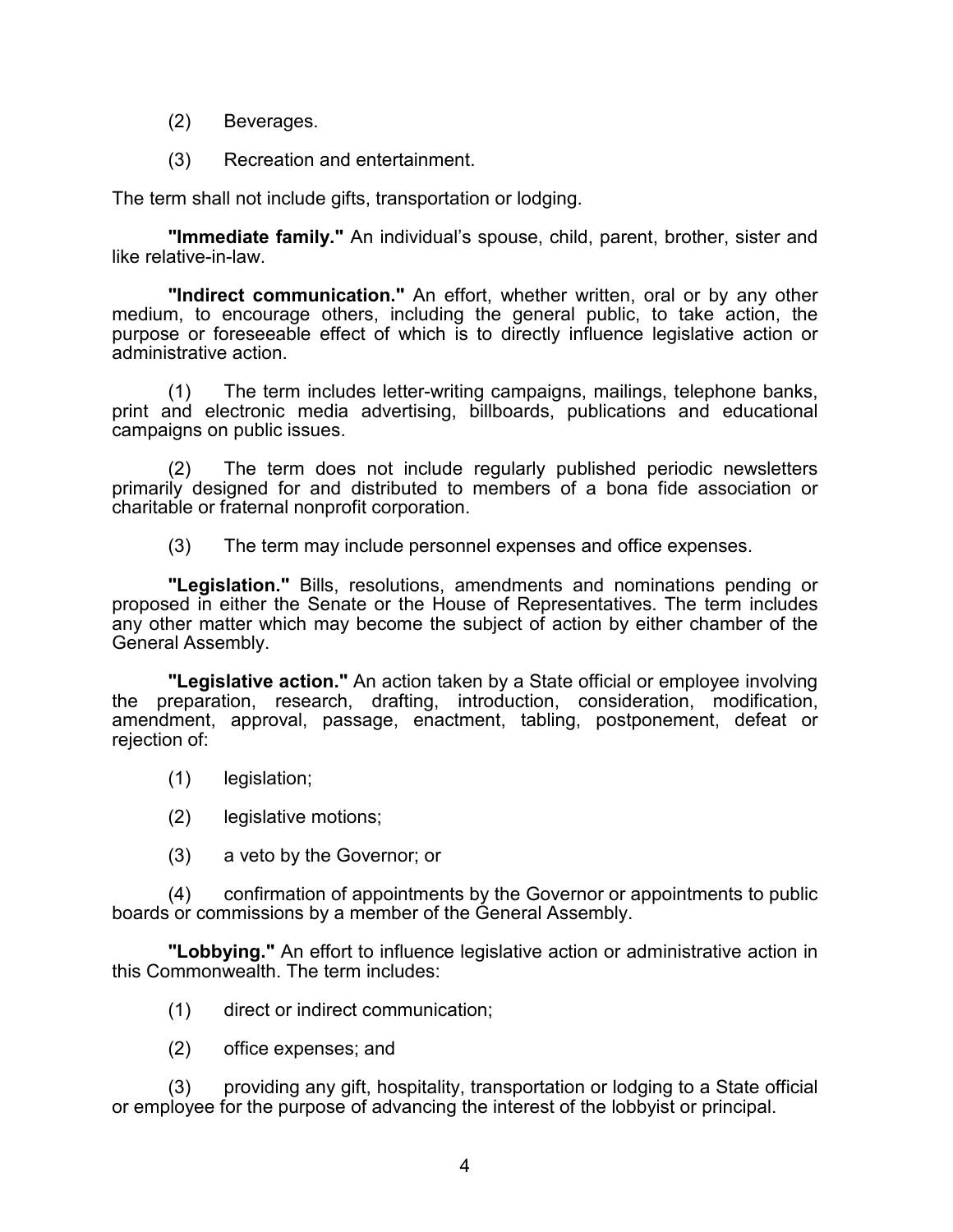- (2) Beverages.
- (3) Recreation and entertainment.

The term shall not include gifts, transportation or lodging.

**"Immediate family."** An individual's spouse, child, parent, brother, sister and like relative-in-law.

**"Indirect communication."** An effort, whether written, oral or by any other medium, to encourage others, including the general public, to take action, the purpose or foreseeable effect of which is to directly influence legislative action or administrative action.

(1) The term includes letter-writing campaigns, mailings, telephone banks, print and electronic media advertising, billboards, publications and educational campaigns on public issues.

(2) The term does not include regularly published periodic newsletters primarily designed for and distributed to members of a bona fide association or charitable or fraternal nonprofit corporation.

(3) The term may include personnel expenses and office expenses.

**"Legislation."** Bills, resolutions, amendments and nominations pending or proposed in either the Senate or the House of Representatives. The term includes any other matter which may become the subject of action by either chamber of the General Assembly.

**"Legislative action."** An action taken by a State official or employee involving the preparation, research, drafting, introduction, consideration, modification, amendment, approval, passage, enactment, tabling, postponement, defeat or rejection of:

- (1) legislation;
- (2) legislative motions;
- (3) a veto by the Governor; or

(4) confirmation of appointments by the Governor or appointments to public boards or commissions by a member of the General Assembly.

**"Lobbying."** An effort to influence legislative action or administrative action in this Commonwealth. The term includes:

- (1) direct or indirect communication;
- (2) office expenses; and

(3) providing any gift, hospitality, transportation or lodging to a State official or employee for the purpose of advancing the interest of the lobbyist or principal.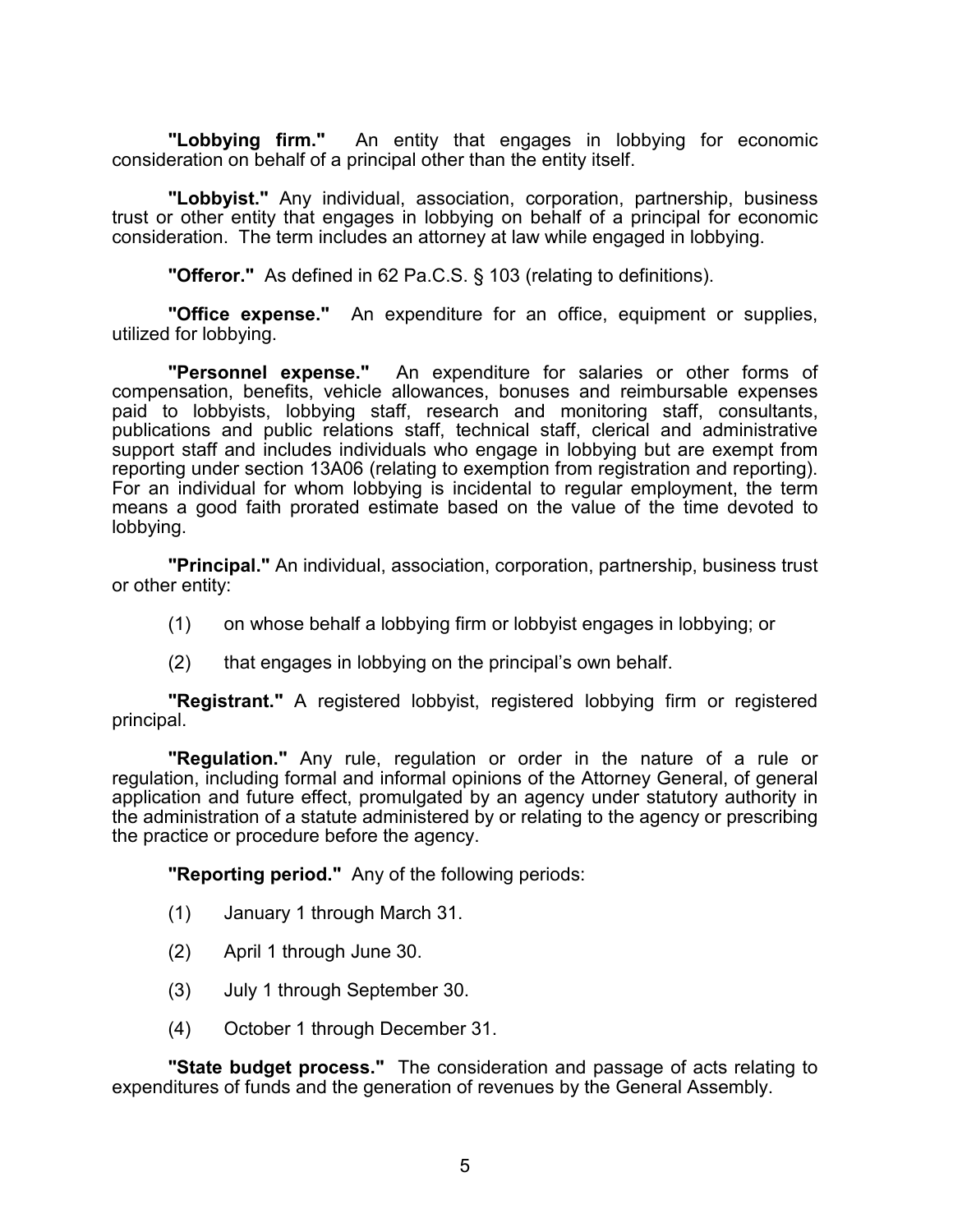**"Lobbying firm."** An entity that engages in lobbying for economic consideration on behalf of a principal other than the entity itself.

**"Lobbyist."** Any individual, association, corporation, partnership, business trust or other entity that engages in lobbying on behalf of a principal for economic consideration. The term includes an attorney at law while engaged in lobbying.

**"Offeror."** As defined in 62 Pa.C.S. § 103 (relating to definitions).

**"Office expense."** An expenditure for an office, equipment or supplies, utilized for lobbying.

**"Personnel expense."** An expenditure for salaries or other forms of compensation, benefits, vehicle allowances, bonuses and reimbursable expenses paid to lobbyists, lobbying staff, research and monitoring staff, consultants, publications and public relations staff, technical staff, clerical and administrative support staff and includes individuals who engage in lobbying but are exempt from reporting under section 13A06 (relating to exemption from registration and reporting). For an individual for whom lobbying is incidental to regular employment, the term means a good faith prorated estimate based on the value of the time devoted to lobbying.

**"Principal."** An individual, association, corporation, partnership, business trust or other entity:

- (1) on whose behalf a lobbying firm or lobbyist engages in lobbying; or
- (2) that engages in lobbying on the principal's own behalf.

**"Registrant."** A registered lobbyist, registered lobbying firm or registered principal.

**"Regulation."** Any rule, regulation or order in the nature of a rule or regulation, including formal and informal opinions of the Attorney General, of general application and future effect, promulgated by an agency under statutory authority in the administration of a statute administered by or relating to the agency or prescribing the practice or procedure before the agency.

**"Reporting period."** Any of the following periods:

- (1) January 1 through March 31.
- (2) April 1 through June 30.
- (3) July 1 through September 30.
- (4) October 1 through December 31.

**"State budget process."** The consideration and passage of acts relating to expenditures of funds and the generation of revenues by the General Assembly.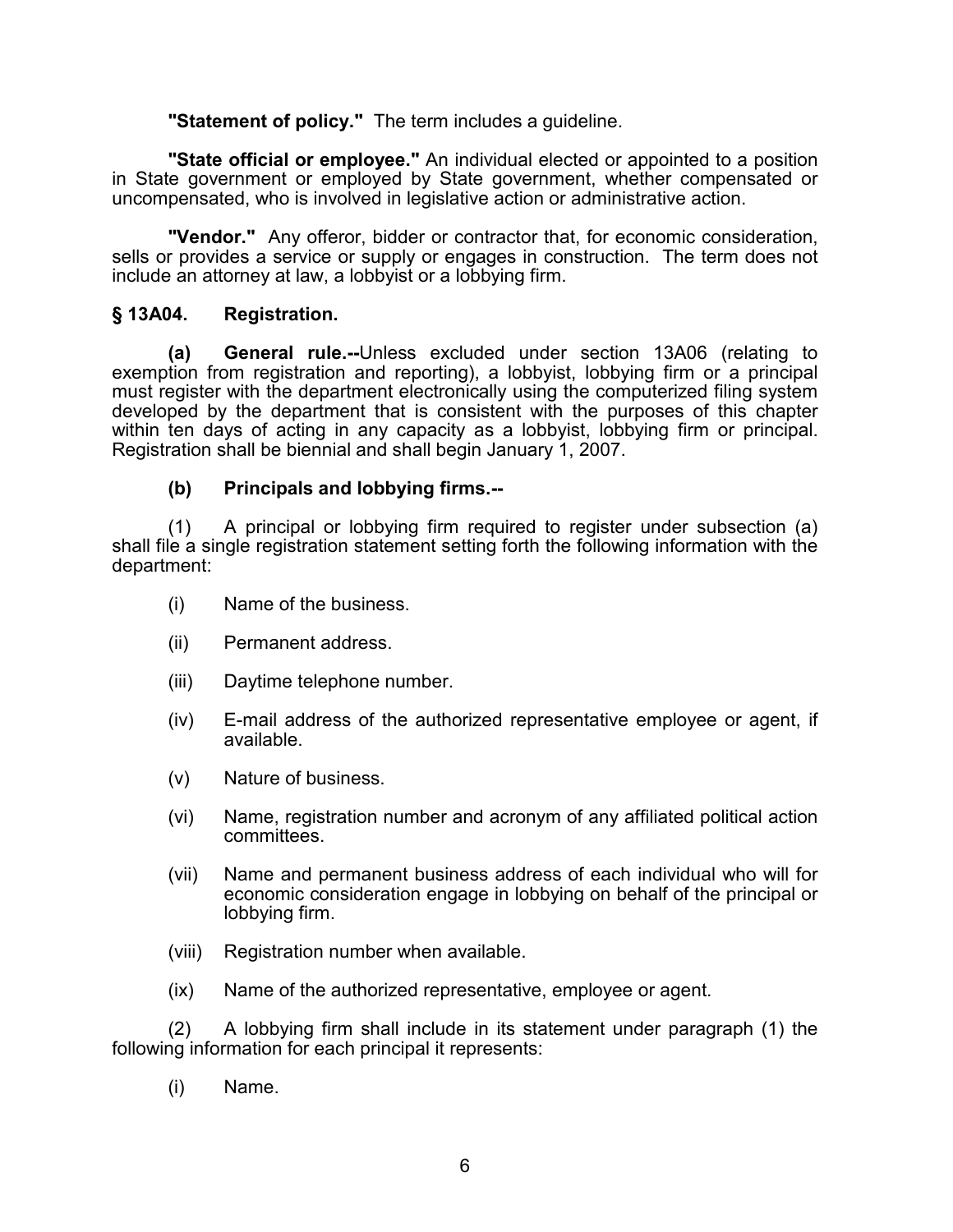**"Statement of policy."** The term includes a guideline.

**"State official or employee."** An individual elected or appointed to a position in State government or employed by State government, whether compensated or uncompensated, who is involved in legislative action or administrative action.

**"Vendor."** Any offeror, bidder or contractor that, for economic consideration, sells or provides a service or supply or engages in construction. The term does not include an attorney at law, a lobbyist or a lobbying firm.

## **§ 13A04. Registration.**

**(a) General rule.--**Unless excluded under section 13A06 (relating to exemption from registration and reporting), a lobbyist, lobbying firm or a principal must register with the department electronically using the computerized filing system developed by the department that is consistent with the purposes of this chapter within ten days of acting in any capacity as a lobbyist, lobbying firm or principal. Registration shall be biennial and shall begin January 1, 2007.

#### **(b) Principals and lobbying firms.--**

(1) A principal or lobbying firm required to register under subsection (a) shall file a single registration statement setting forth the following information with the department:

- (i) Name of the business.
- (ii) Permanent address.
- (iii) Daytime telephone number.
- (iv) E-mail address of the authorized representative employee or agent, if available.
- (v) Nature of business.
- (vi) Name, registration number and acronym of any affiliated political action committees.
- (vii) Name and permanent business address of each individual who will for economic consideration engage in lobbying on behalf of the principal or lobbying firm.
- (viii) Registration number when available.
- (ix) Name of the authorized representative, employee or agent.

(2) A lobbying firm shall include in its statement under paragraph (1) the following information for each principal it represents:

(i) Name.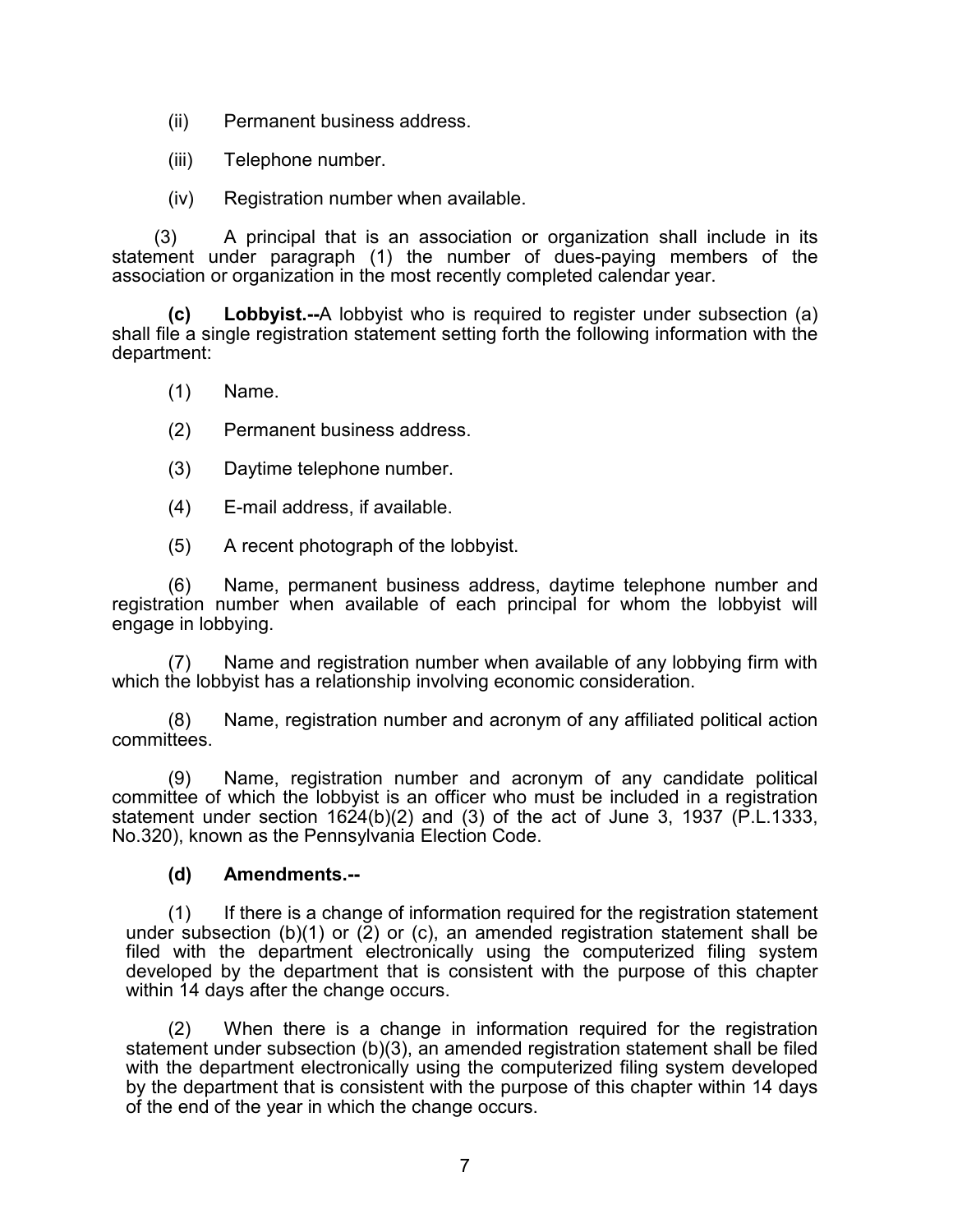(ii) Permanent business address.

(iii) Telephone number.

(iv) Registration number when available.

(3) A principal that is an association or organization shall include in its statement under paragraph (1) the number of dues-paying members of the association or organization in the most recently completed calendar year.

**(c) Lobbyist.--**A lobbyist who is required to register under subsection (a) shall file a single registration statement setting forth the following information with the department:

- (1) Name.
- (2) Permanent business address.
- (3) Daytime telephone number.
- (4) E-mail address, if available.
- (5) A recent photograph of the lobbyist.

(6) Name, permanent business address, daytime telephone number and registration number when available of each principal for whom the lobbyist will engage in lobbying.

(7) Name and registration number when available of any lobbying firm with which the lobbyist has a relationship involving economic consideration.

(8) Name, registration number and acronym of any affiliated political action committees.

(9) Name, registration number and acronym of any candidate political committee of which the lobbyist is an officer who must be included in a registration statement under section  $1624(b)(2)$  and (3) of the act of June 3, 1937 (P.L.1333, No.320), known as the Pennsylvania Election Code.

#### **(d) Amendments.--**

(1) If there is a change of information required for the registration statement under subsection (b)(1) or  $(2)$  or (c), an amended registration statement shall be filed with the department electronically using the computerized filing system developed by the department that is consistent with the purpose of this chapter within 14 days after the change occurs.

(2) When there is a change in information required for the registration statement under subsection (b)(3), an amended registration statement shall be filed with the department electronically using the computerized filing system developed by the department that is consistent with the purpose of this chapter within 14 days of the end of the year in which the change occurs.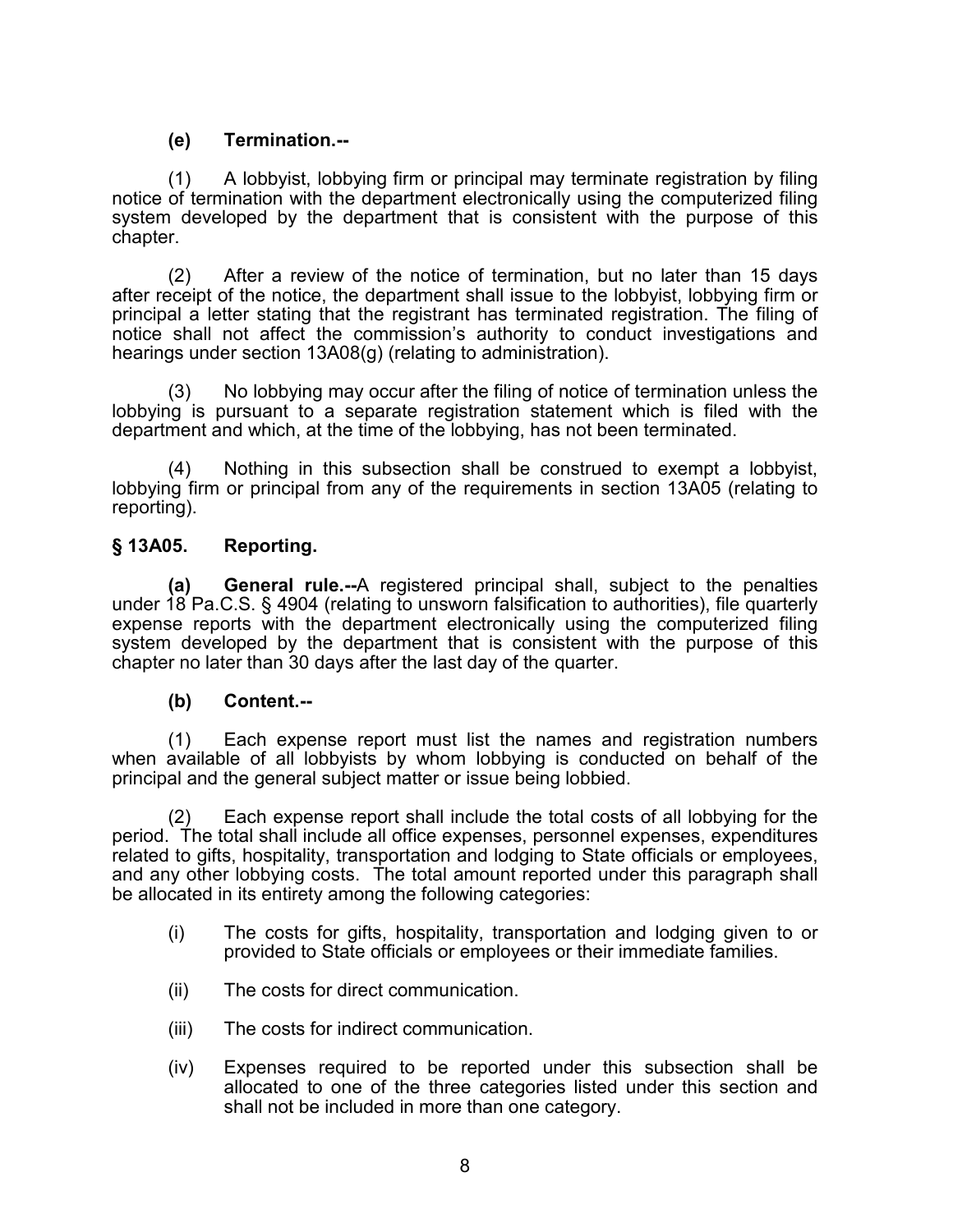## **(e) Termination.--**

(1) A lobbyist, lobbying firm or principal may terminate registration by filing notice of termination with the department electronically using the computerized filing system developed by the department that is consistent with the purpose of this chapter.

(2) After a review of the notice of termination, but no later than 15 days after receipt of the notice, the department shall issue to the lobbyist, lobbying firm or principal a letter stating that the registrant has terminated registration. The filing of notice shall not affect the commission's authority to conduct investigations and hearings under section 13A08(g) (relating to administration).

(3) No lobbying may occur after the filing of notice of termination unless the lobbying is pursuant to a separate registration statement which is filed with the department and which, at the time of the lobbying, has not been terminated.

(4) Nothing in this subsection shall be construed to exempt a lobbyist, lobbying firm or principal from any of the requirements in section 13A05 (relating to reporting).

## **§ 13A05. Reporting.**

**(a) General rule.--**A registered principal shall, subject to the penalties under 18 Pa.C.S. § 4904 (relating to unsworn falsification to authorities), file quarterly expense reports with the department electronically using the computerized filing system developed by the department that is consistent with the purpose of this chapter no later than 30 days after the last day of the quarter.

## **(b) Content.--**

(1) Each expense report must list the names and registration numbers when available of all lobbyists by whom lobbying is conducted on behalf of the principal and the general subject matter or issue being lobbied.

(2) Each expense report shall include the total costs of all lobbying for the period. The total shall include all office expenses, personnel expenses, expenditures related to gifts, hospitality, transportation and lodging to State officials or employees, and any other lobbying costs. The total amount reported under this paragraph shall be allocated in its entirety among the following categories:

- (i) The costs for gifts, hospitality, transportation and lodging given to or provided to State officials or employees or their immediate families.
- (ii) The costs for direct communication.
- (iii) The costs for indirect communication.
- (iv) Expenses required to be reported under this subsection shall be allocated to one of the three categories listed under this section and shall not be included in more than one category.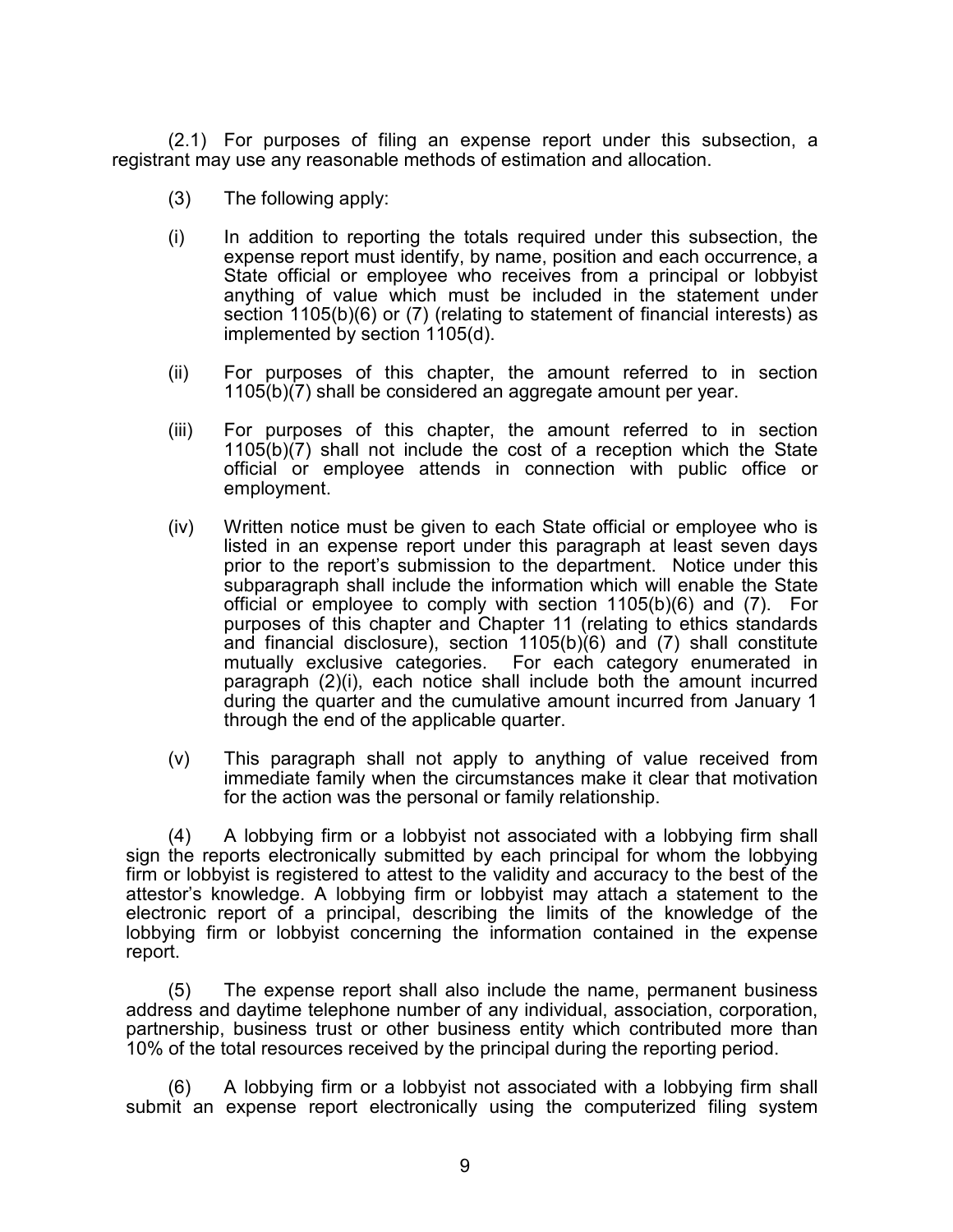(2.1) For purposes of filing an expense report under this subsection, a registrant may use any reasonable methods of estimation and allocation.

- (3) The following apply:
- (i) In addition to reporting the totals required under this subsection, the expense report must identify, by name, position and each occurrence, a State official or employee who receives from a principal or lobbyist anything of value which must be included in the statement under section 1105(b)(6) or (7) (relating to statement of financial interests) as implemented by section 1105(d).
- (ii) For purposes of this chapter, the amount referred to in section 1105(b)(7) shall be considered an aggregate amount per year.
- (iii) For purposes of this chapter, the amount referred to in section 1105(b)(7) shall not include the cost of a reception which the State official or employee attends in connection with public office or employment.
- (iv) Written notice must be given to each State official or employee who is listed in an expense report under this paragraph at least seven days prior to the report's submission to the department. Notice under this subparagraph shall include the information which will enable the State official or employee to comply with section 1105(b)(6) and (7). For purposes of this chapter and Chapter 11 (relating to ethics standards and financial disclosure), section 1105(b)(6) and (7) shall constitute mutually exclusive categories. For each category enumerated in paragraph (2)(i), each notice shall include both the amount incurred during the quarter and the cumulative amount incurred from January 1 through the end of the applicable quarter.
- (v) This paragraph shall not apply to anything of value received from immediate family when the circumstances make it clear that motivation for the action was the personal or family relationship.

(4) A lobbying firm or a lobbyist not associated with a lobbying firm shall sign the reports electronically submitted by each principal for whom the lobbying firm or lobbyist is registered to attest to the validity and accuracy to the best of the attestor's knowledge. A lobbying firm or lobbyist may attach a statement to the electronic report of a principal, describing the limits of the knowledge of the lobbying firm or lobbyist concerning the information contained in the expense report.

(5) The expense report shall also include the name, permanent business address and daytime telephone number of any individual, association, corporation, partnership, business trust or other business entity which contributed more than 10% of the total resources received by the principal during the reporting period.

(6) A lobbying firm or a lobbyist not associated with a lobbying firm shall submit an expense report electronically using the computerized filing system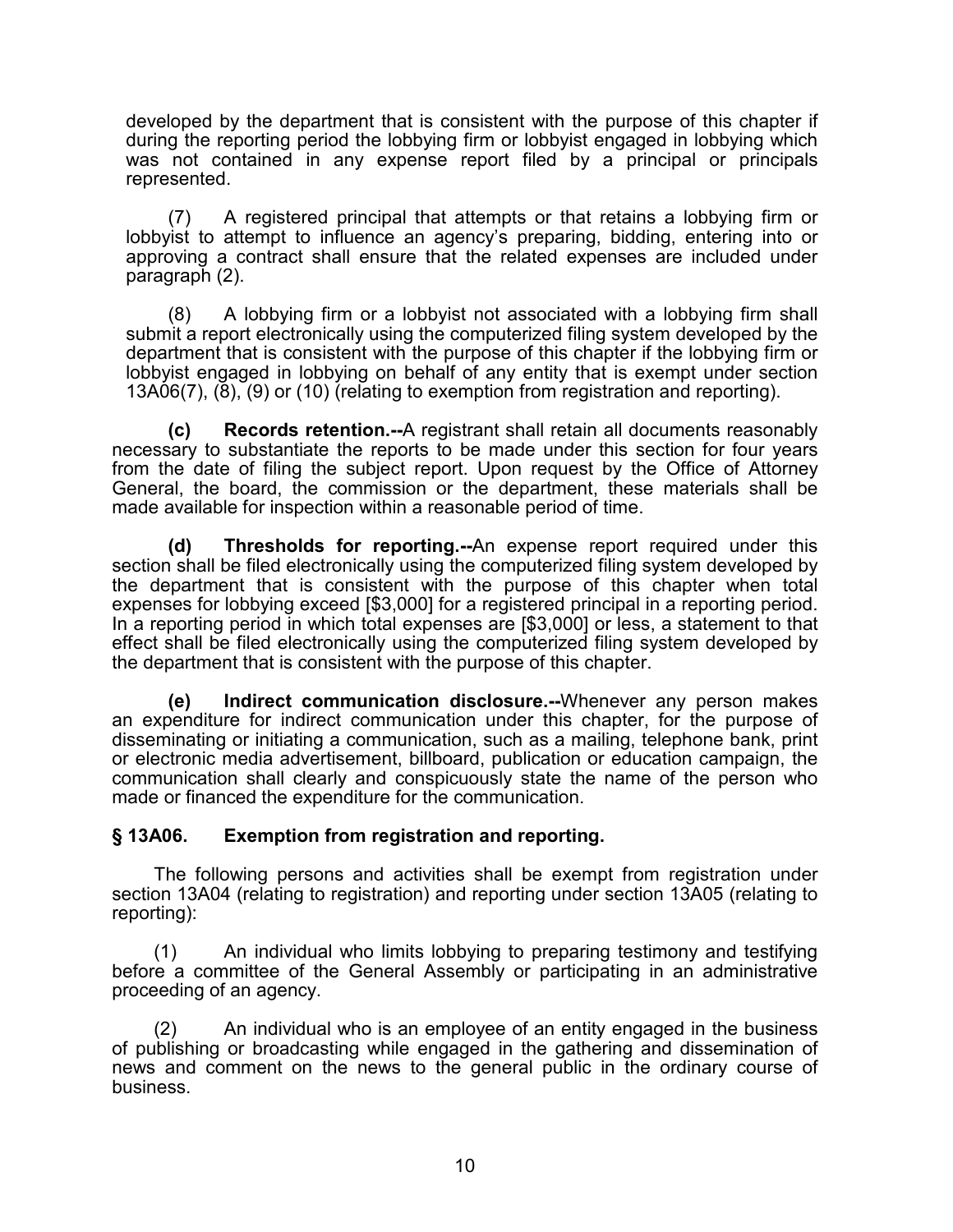developed by the department that is consistent with the purpose of this chapter if during the reporting period the lobbying firm or lobbyist engaged in lobbying which was not contained in any expense report filed by a principal or principals represented.

(7) A registered principal that attempts or that retains a lobbying firm or lobbyist to attempt to influence an agency's preparing, bidding, entering into or approving a contract shall ensure that the related expenses are included under paragraph (2).

(8) A lobbying firm or a lobbyist not associated with a lobbying firm shall submit a report electronically using the computerized filing system developed by the department that is consistent with the purpose of this chapter if the lobbying firm or lobbyist engaged in lobbying on behalf of any entity that is exempt under section 13A06(7), (8), (9) or (10) (relating to exemption from registration and reporting).

**(c) Records retention.--**A registrant shall retain all documents reasonably necessary to substantiate the reports to be made under this section for four years from the date of filing the subject report. Upon request by the Office of Attorney General, the board, the commission or the department, these materials shall be made available for inspection within a reasonable period of time.

**(d) Thresholds for reporting.--**An expense report required under this section shall be filed electronically using the computerized filing system developed by the department that is consistent with the purpose of this chapter when total expenses for lobbying exceed [\$3,000] for a registered principal in a reporting period. In a reporting period in which total expenses are [\$3,000] or less, a statement to that effect shall be filed electronically using the computerized filing system developed by the department that is consistent with the purpose of this chapter.

**(e) Indirect communication disclosure.--**Whenever any person makes an expenditure for indirect communication under this chapter, for the purpose of disseminating or initiating a communication, such as a mailing, telephone bank, print or electronic media advertisement, billboard, publication or education campaign, the communication shall clearly and conspicuously state the name of the person who made or financed the expenditure for the communication.

#### **§ 13A06. Exemption from registration and reporting.**

The following persons and activities shall be exempt from registration under section 13A04 (relating to registration) and reporting under section 13A05 (relating to reporting):

(1) An individual who limits lobbying to preparing testimony and testifying before a committee of the General Assembly or participating in an administrative proceeding of an agency.

(2) An individual who is an employee of an entity engaged in the business of publishing or broadcasting while engaged in the gathering and dissemination of news and comment on the news to the general public in the ordinary course of business.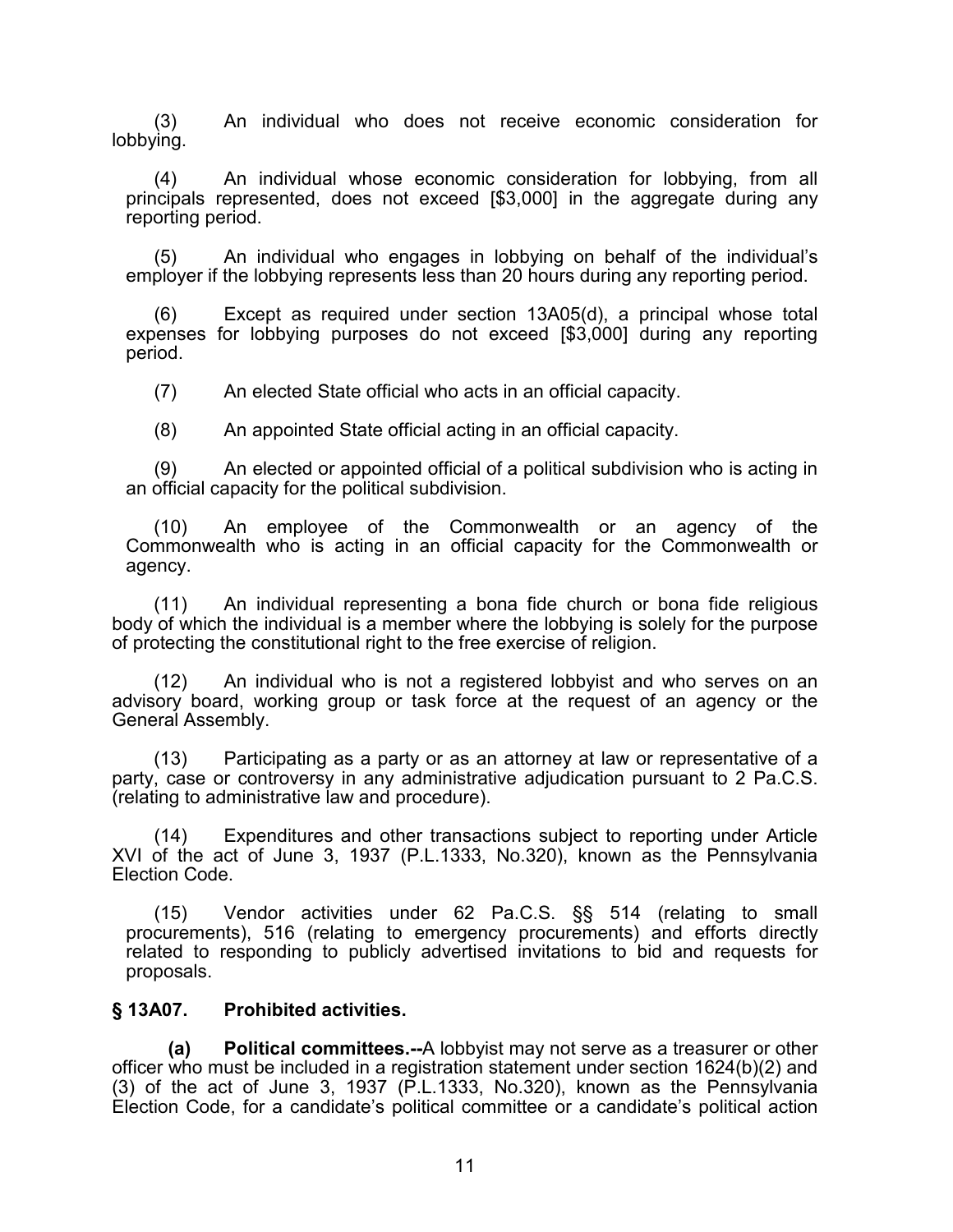(3) An individual who does not receive economic consideration for lobbying.

(4) An individual whose economic consideration for lobbying, from all principals represented, does not exceed [\$3,000] in the aggregate during any reporting period.

(5) An individual who engages in lobbying on behalf of the individual's employer if the lobbying represents less than 20 hours during any reporting period.

(6) Except as required under section 13A05(d), a principal whose total expenses for lobbying purposes do not exceed [\$3,000] during any reporting period.

(7) An elected State official who acts in an official capacity.

(8) An appointed State official acting in an official capacity.

(9) An elected or appointed official of a political subdivision who is acting in an official capacity for the political subdivision.

(10) An employee of the Commonwealth or an agency of the Commonwealth who is acting in an official capacity for the Commonwealth or agency.

(11) An individual representing a bona fide church or bona fide religious body of which the individual is a member where the lobbying is solely for the purpose of protecting the constitutional right to the free exercise of religion.

(12) An individual who is not a registered lobbyist and who serves on an advisory board, working group or task force at the request of an agency or the General Assembly.

(13) Participating as a party or as an attorney at law or representative of a party, case or controversy in any administrative adjudication pursuant to 2 Pa.C.S. (relating to administrative law and procedure).

(14) Expenditures and other transactions subject to reporting under Article XVI of the act of June 3, 1937 (P.L.1333, No.320), known as the Pennsylvania Election Code.

(15) Vendor activities under 62 Pa.C.S. §§ 514 (relating to small procurements), 516 (relating to emergency procurements) and efforts directly related to responding to publicly advertised invitations to bid and requests for proposals.

#### **§ 13A07. Prohibited activities.**

**(a) Political committees.--**A lobbyist may not serve as a treasurer or other officer who must be included in a registration statement under section 1624(b)(2) and  $(3)$  of the act of June 3, 1937 (P.L.1333, No.320), known as the Pennsylvania Election Code, for a candidate's political committee or a candidate's political action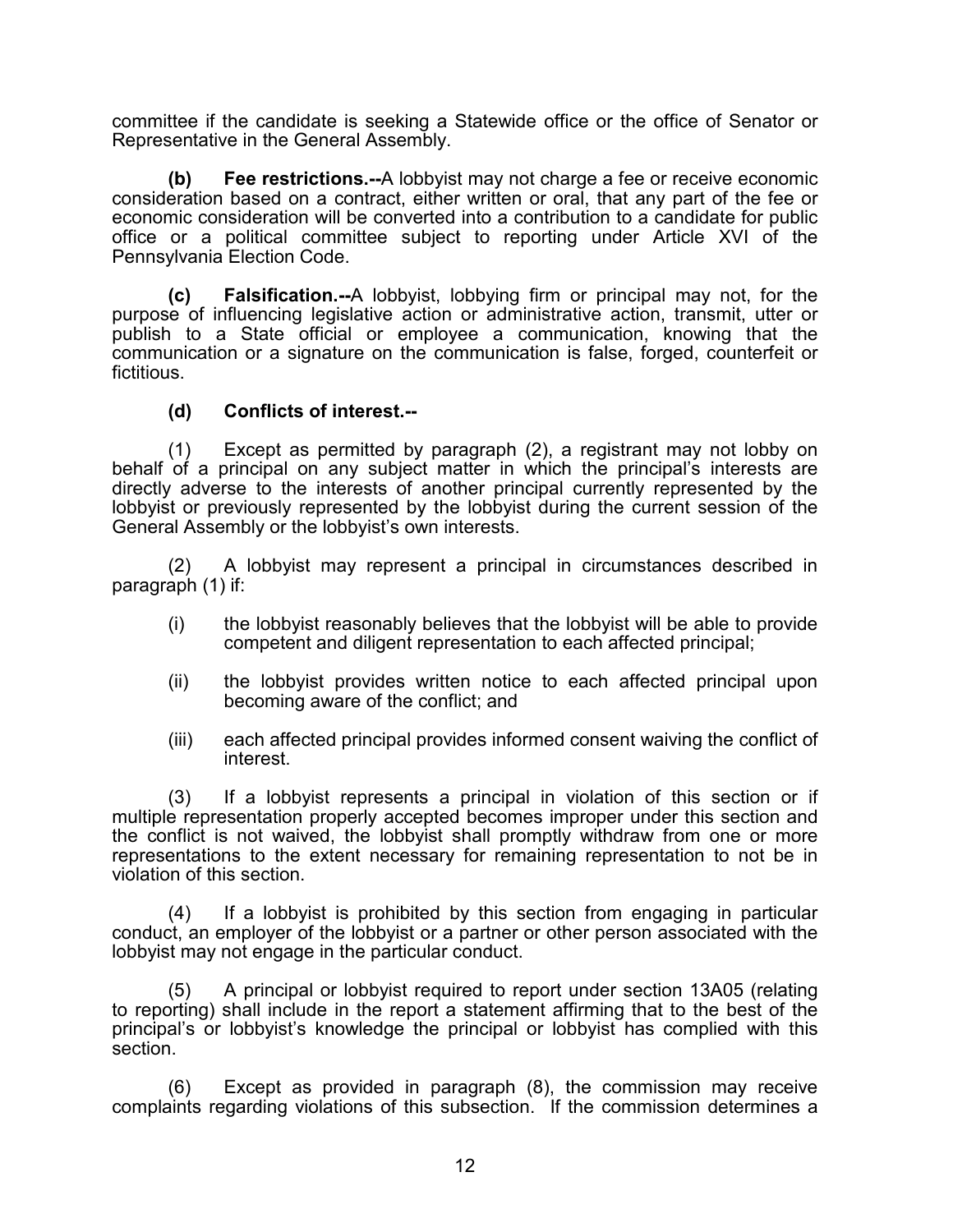committee if the candidate is seeking a Statewide office or the office of Senator or Representative in the General Assembly.

**(b) Fee restrictions.--**A lobbyist may not charge a fee or receive economic consideration based on a contract, either written or oral, that any part of the fee or economic consideration will be converted into a contribution to a candidate for public office or a political committee subject to reporting under Article XVI of the Pennsylvania Election Code.

**(c) Falsification.--**A lobbyist, lobbying firm or principal may not, for the purpose of influencing legislative action or administrative action, transmit, utter or publish to a State official or employee a communication, knowing that the communication or a signature on the communication is false, forged, counterfeit or fictitious.

#### **(d) Conflicts of interest.--**

(1) Except as permitted by paragraph (2), a registrant may not lobby on behalf of a principal on any subject matter in which the principal's interests are directly adverse to the interests of another principal currently represented by the lobbyist or previously represented by the lobbyist during the current session of the General Assembly or the lobbyist's own interests.

(2) A lobbyist may represent a principal in circumstances described in paragraph (1) if:

- (i) the lobbyist reasonably believes that the lobbyist will be able to provide competent and diligent representation to each affected principal;
- (ii) the lobbyist provides written notice to each affected principal upon becoming aware of the conflict; and
- (iii) each affected principal provides informed consent waiving the conflict of interest.

(3) If a lobbyist represents a principal in violation of this section or if multiple representation properly accepted becomes improper under this section and the conflict is not waived, the lobbyist shall promptly withdraw from one or more representations to the extent necessary for remaining representation to not be in violation of this section.

(4) If a lobbyist is prohibited by this section from engaging in particular conduct, an employer of the lobbyist or a partner or other person associated with the lobbyist may not engage in the particular conduct.

(5) A principal or lobbyist required to report under section 13A05 (relating to reporting) shall include in the report a statement affirming that to the best of the principal's or lobbyist's knowledge the principal or lobbyist has complied with this section.

(6) Except as provided in paragraph (8), the commission may receive complaints regarding violations of this subsection. If the commission determines a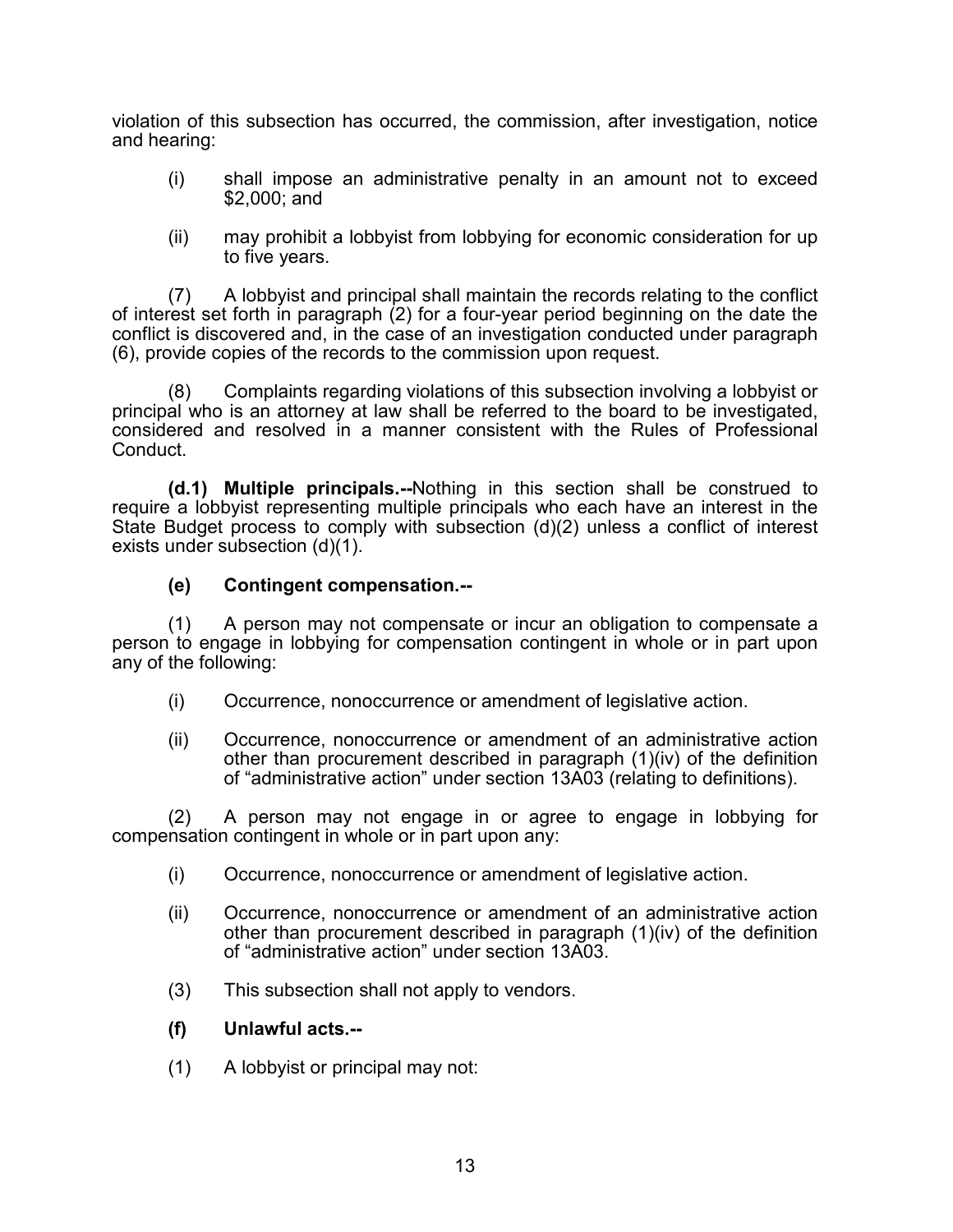violation of this subsection has occurred, the commission, after investigation, notice and hearing:

- (i) shall impose an administrative penalty in an amount not to exceed \$2,000; and
- (ii) may prohibit a lobbyist from lobbying for economic consideration for up to five years.

(7) A lobbyist and principal shall maintain the records relating to the conflict of interest set forth in paragraph (2) for a four-year period beginning on the date the conflict is discovered and, in the case of an investigation conducted under paragraph (6), provide copies of the records to the commission upon request.

(8) Complaints regarding violations of this subsection involving a lobbyist or principal who is an attorney at law shall be referred to the board to be investigated, considered and resolved in a manner consistent with the Rules of Professional Conduct.

**(d.1) Multiple principals.--**Nothing in this section shall be construed to require a lobbyist representing multiple principals who each have an interest in the State Budget process to comply with subsection (d)(2) unless a conflict of interest exists under subsection (d)(1).

## **(e) Contingent compensation.--**

(1) A person may not compensate or incur an obligation to compensate a person to engage in lobbying for compensation contingent in whole or in part upon any of the following:

- (i) Occurrence, nonoccurrence or amendment of legislative action.
- (ii) Occurrence, nonoccurrence or amendment of an administrative action other than procurement described in paragraph (1)(iv) of the definition of "administrative action" under section 13A03 (relating to definitions).

(2) A person may not engage in or agree to engage in lobbying for compensation contingent in whole or in part upon any:

- (i) Occurrence, nonoccurrence or amendment of legislative action.
- (ii) Occurrence, nonoccurrence or amendment of an administrative action other than procurement described in paragraph (1)(iv) of the definition of "administrative action" under section 13A03.
- (3) This subsection shall not apply to vendors.

## **(f) Unlawful acts.--**

(1) A lobbyist or principal may not: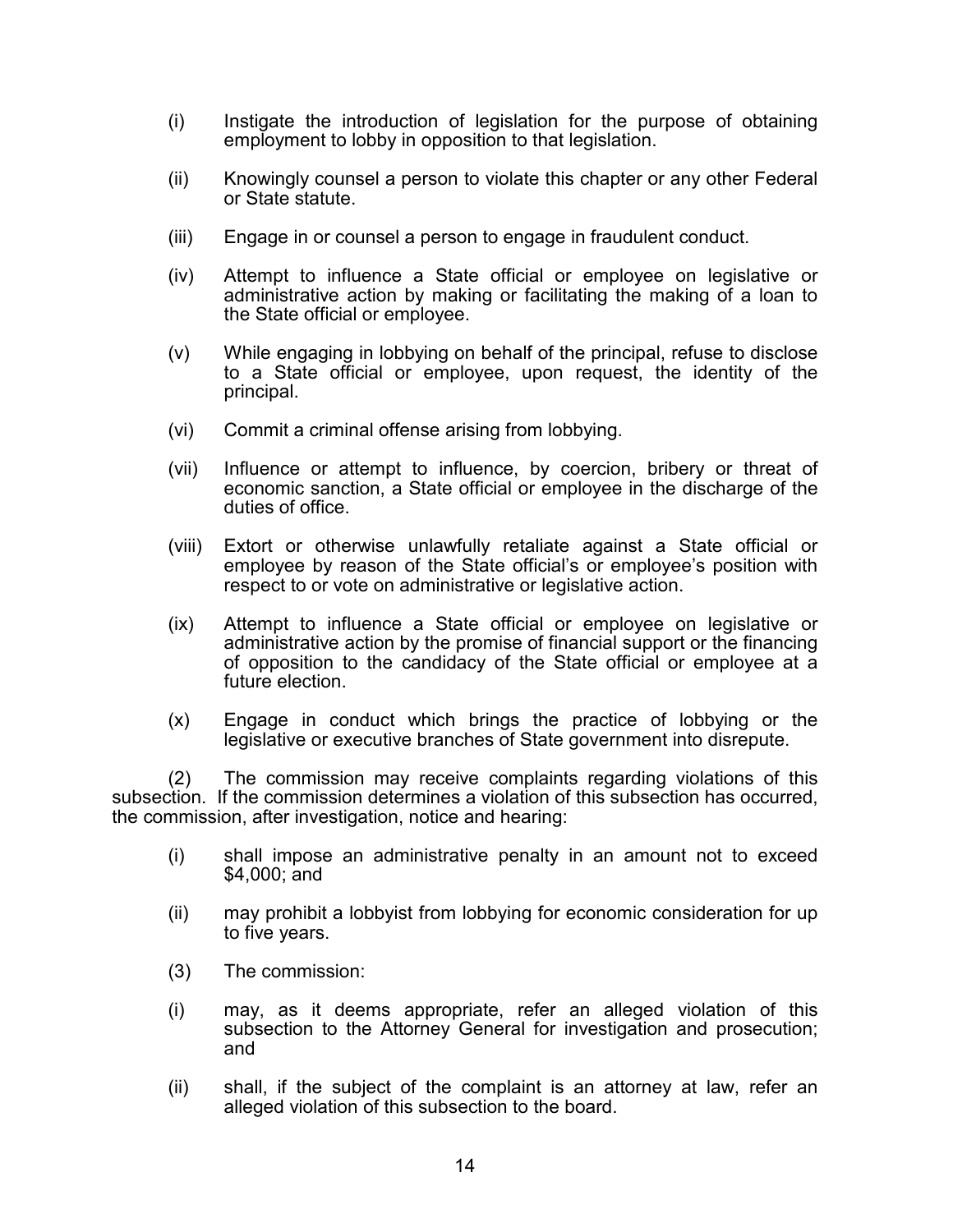- (i) Instigate the introduction of legislation for the purpose of obtaining employment to lobby in opposition to that legislation.
- (ii) Knowingly counsel a person to violate this chapter or any other Federal or State statute.
- (iii) Engage in or counsel a person to engage in fraudulent conduct.
- (iv) Attempt to influence a State official or employee on legislative or administrative action by making or facilitating the making of a loan to the State official or employee.
- (v) While engaging in lobbying on behalf of the principal, refuse to disclose to a State official or employee, upon request, the identity of the principal.
- (vi) Commit a criminal offense arising from lobbying.
- (vii) Influence or attempt to influence, by coercion, bribery or threat of economic sanction, a State official or employee in the discharge of the duties of office.
- (viii) Extort or otherwise unlawfully retaliate against a State official or employee by reason of the State official's or employee's position with respect to or vote on administrative or legislative action.
- (ix) Attempt to influence a State official or employee on legislative or administrative action by the promise of financial support or the financing of opposition to the candidacy of the State official or employee at a future election.
- (x) Engage in conduct which brings the practice of lobbying or the legislative or executive branches of State government into disrepute.

(2) The commission may receive complaints regarding violations of this subsection. If the commission determines a violation of this subsection has occurred, the commission, after investigation, notice and hearing:

- (i) shall impose an administrative penalty in an amount not to exceed \$4,000; and
- (ii) may prohibit a lobbyist from lobbying for economic consideration for up to five years.
- (3) The commission:
- (i) may, as it deems appropriate, refer an alleged violation of this subsection to the Attorney General for investigation and prosecution; and
- (ii) shall, if the subject of the complaint is an attorney at law, refer an alleged violation of this subsection to the board.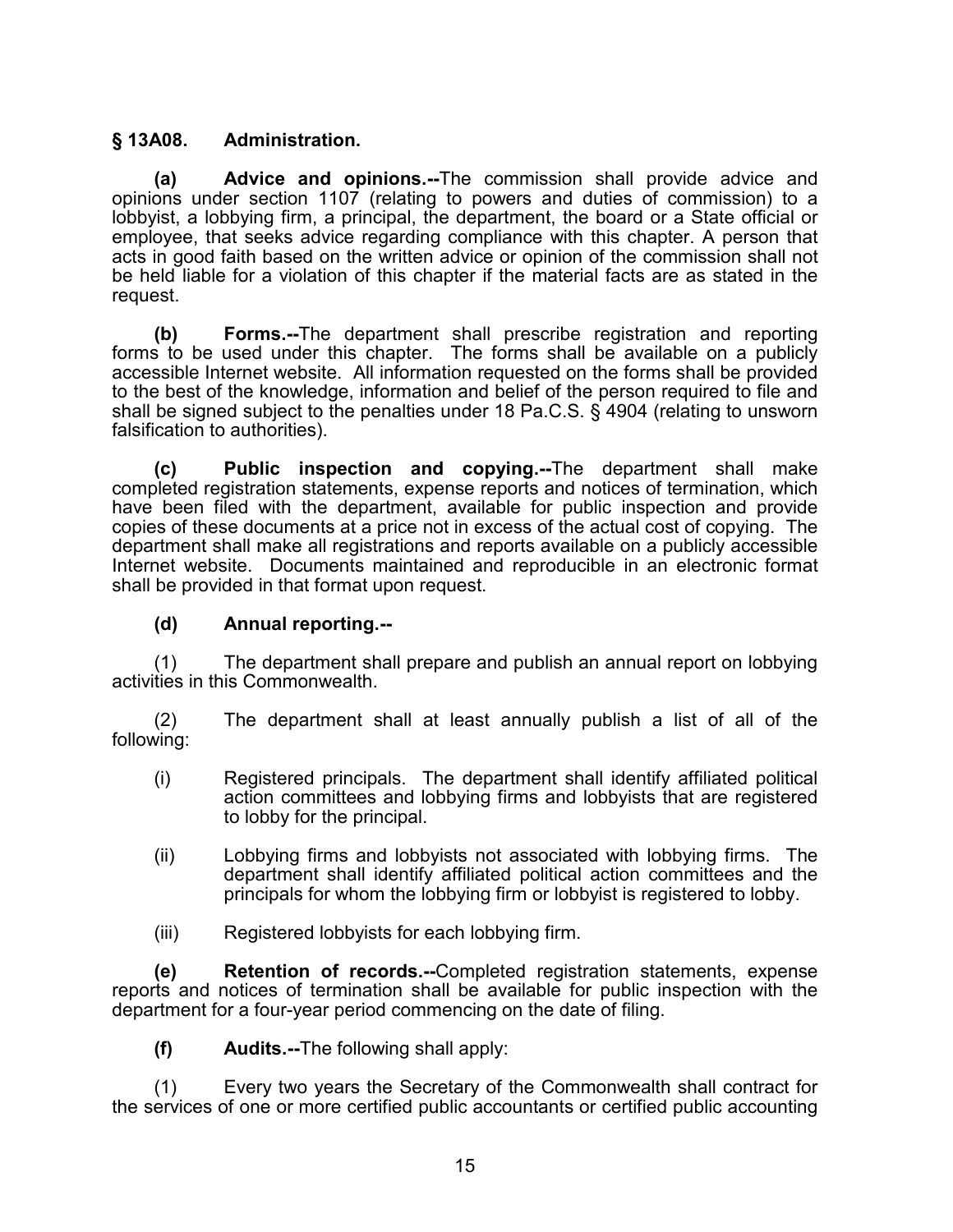## **§ 13A08. Administration.**

**(a) Advice and opinions.--**The commission shall provide advice and opinions under section 1107 (relating to powers and duties of commission) to a lobbyist, a lobbying firm, a principal, the department, the board or a State official or employee, that seeks advice regarding compliance with this chapter. A person that acts in good faith based on the written advice or opinion of the commission shall not be held liable for a violation of this chapter if the material facts are as stated in the request.

**(b) Forms.--**The department shall prescribe registration and reporting forms to be used under this chapter. The forms shall be available on a publicly accessible Internet website. All information requested on the forms shall be provided to the best of the knowledge, information and belief of the person required to file and shall be signed subject to the penalties under 18 Pa.C.S. § 4904 (relating to unsworn falsification to authorities).

**(c) Public inspection and copying.--**The department shall make completed registration statements, expense reports and notices of termination, which have been filed with the department, available for public inspection and provide copies of these documents at a price not in excess of the actual cost of copying. The department shall make all registrations and reports available on a publicly accessible Internet website. Documents maintained and reproducible in an electronic format shall be provided in that format upon request.

## **(d) Annual reporting.--**

(1) The department shall prepare and publish an annual report on lobbying activities in this Commonwealth.

(2) The department shall at least annually publish a list of all of the following:

- (i) Registered principals. The department shall identify affiliated political action committees and lobbying firms and lobbyists that are registered to lobby for the principal.
- (ii) Lobbying firms and lobbyists not associated with lobbying firms. The department shall identify affiliated political action committees and the principals for whom the lobbying firm or lobbyist is registered to lobby.
- (iii) Registered lobbyists for each lobbying firm.

**(e) Retention of records.--**Completed registration statements, expense reports and notices of termination shall be available for public inspection with the department for a four-year period commencing on the date of filing.

**(f) Audits.--**The following shall apply:

(1) Every two years the Secretary of the Commonwealth shall contract for the services of one or more certified public accountants or certified public accounting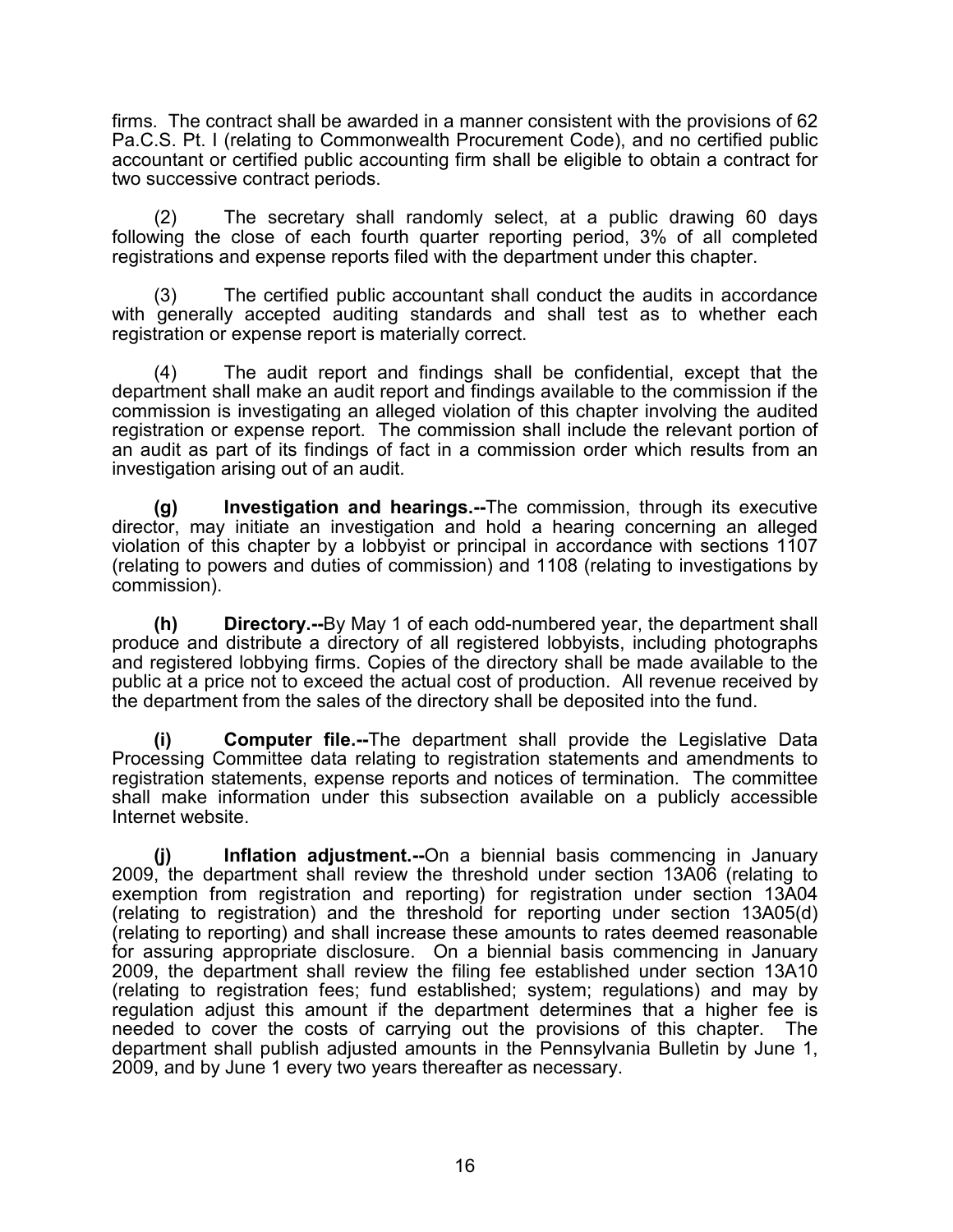firms. The contract shall be awarded in a manner consistent with the provisions of 62 Pa.C.S. Pt. I (relating to Commonwealth Procurement Code), and no certified public accountant or certified public accounting firm shall be eligible to obtain a contract for two successive contract periods.

(2) The secretary shall randomly select, at a public drawing 60 days following the close of each fourth quarter reporting period, 3% of all completed registrations and expense reports filed with the department under this chapter.

(3) The certified public accountant shall conduct the audits in accordance with generally accepted auditing standards and shall test as to whether each registration or expense report is materially correct.

(4) The audit report and findings shall be confidential, except that the department shall make an audit report and findings available to the commission if the commission is investigating an alleged violation of this chapter involving the audited registration or expense report. The commission shall include the relevant portion of an audit as part of its findings of fact in a commission order which results from an investigation arising out of an audit.

**(g) Investigation and hearings.--**The commission, through its executive director, may initiate an investigation and hold a hearing concerning an alleged violation of this chapter by a lobbyist or principal in accordance with sections 1107 (relating to powers and duties of commission) and 1108 (relating to investigations by commission).

**(h) Directory.--**By May 1 of each odd-numbered year, the department shall produce and distribute a directory of all registered lobbyists, including photographs and registered lobbying firms. Copies of the directory shall be made available to the public at a price not to exceed the actual cost of production. All revenue received by the department from the sales of the directory shall be deposited into the fund.

**(i) Computer file.--**The department shall provide the Legislative Data Processing Committee data relating to registration statements and amendments to registration statements, expense reports and notices of termination. The committee shall make information under this subsection available on a publicly accessible Internet website.

**(j) Inflation adjustment.--**On a biennial basis commencing in January 2009, the department shall review the threshold under section 13A06 (relating to exemption from registration and reporting) for registration under section 13A04 (relating to registration) and the threshold for reporting under section 13A05(d) (relating to reporting) and shall increase these amounts to rates deemed reasonable for assuring appropriate disclosure. On a biennial basis commencing in January 2009, the department shall review the filing fee established under section 13A10 (relating to registration fees; fund established; system; regulations) and may by regulation adjust this amount if the department determines that a higher fee is needed to cover the costs of carrying out the provisions of this chapter. The department shall publish adjusted amounts in the Pennsylvania Bulletin by June 1, 2009, and by June 1 every two years thereafter as necessary.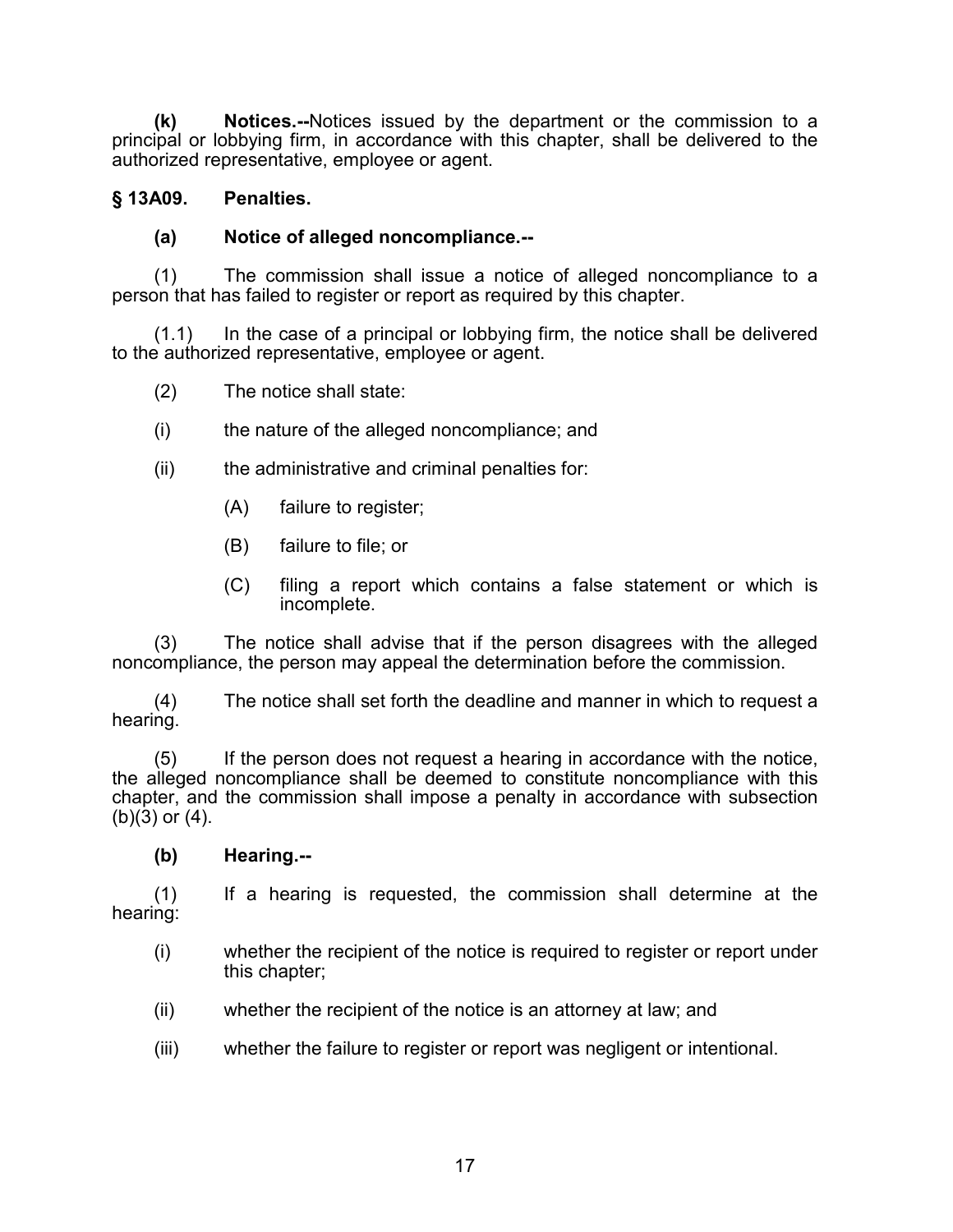**(k) Notices.--**Notices issued by the department or the commission to a principal or lobbying firm, in accordance with this chapter, shall be delivered to the authorized representative, employee or agent.

## **§ 13A09. Penalties.**

## **(a) Notice of alleged noncompliance.--**

(1) The commission shall issue a notice of alleged noncompliance to a person that has failed to register or report as required by this chapter.

(1.1) In the case of a principal or lobbying firm, the notice shall be delivered to the authorized representative, employee or agent.

- (2) The notice shall state:
- (i) the nature of the alleged noncompliance; and
- (ii) the administrative and criminal penalties for:
	- (A) failure to register;
	- (B) failure to file; or
	- (C) filing a report which contains a false statement or which is incomplete.

(3) The notice shall advise that if the person disagrees with the alleged noncompliance, the person may appeal the determination before the commission.

(4) The notice shall set forth the deadline and manner in which to request a hearing.

(5) If the person does not request a hearing in accordance with the notice, the alleged noncompliance shall be deemed to constitute noncompliance with this chapter, and the commission shall impose a penalty in accordance with subsection  $(b)(3)$  or  $(4)$ .

**(b) Hearing.--**

(1) If a hearing is requested, the commission shall determine at the hearing:

- (i) whether the recipient of the notice is required to register or report under this chapter;
- (ii) whether the recipient of the notice is an attorney at law; and
- (iii) whether the failure to register or report was negligent or intentional.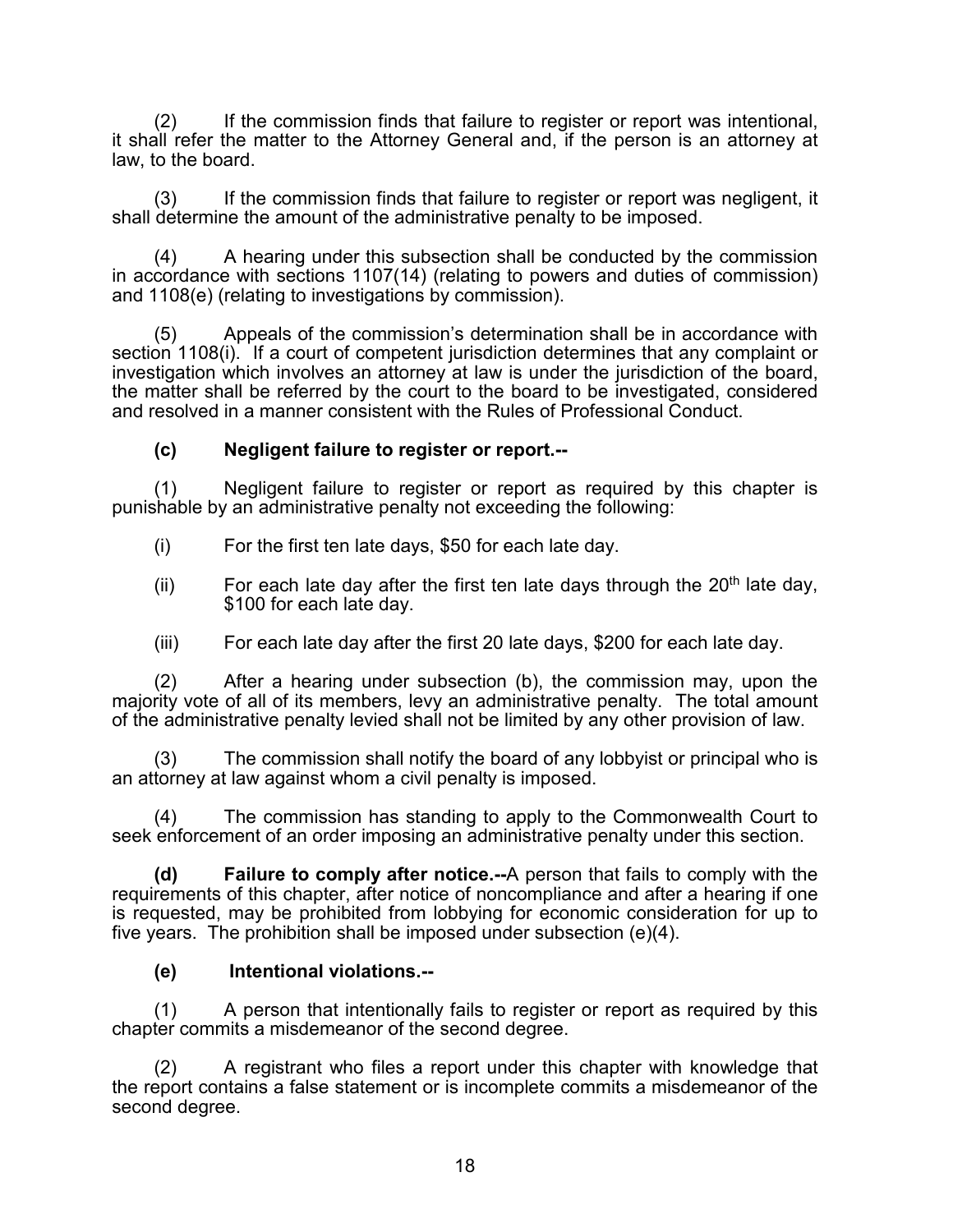(2) If the commission finds that failure to register or report was intentional, it shall refer the matter to the Attorney General and, if the person is an attorney at law, to the board.

(3) If the commission finds that failure to register or report was negligent, it shall determine the amount of the administrative penalty to be imposed.

(4) A hearing under this subsection shall be conducted by the commission in accordance with sections 1107(14) (relating to powers and duties of commission) and 1108(e) (relating to investigations by commission).

(5) Appeals of the commission's determination shall be in accordance with section 1108(i). If a court of competent jurisdiction determines that any complaint or investigation which involves an attorney at law is under the jurisdiction of the board, the matter shall be referred by the court to the board to be investigated, considered and resolved in a manner consistent with the Rules of Professional Conduct.

## **(c) Negligent failure to register or report.--**

(1) Negligent failure to register or report as required by this chapter is punishable by an administrative penalty not exceeding the following:

- (i) For the first ten late days, \$50 for each late day.
- (ii) For each late day after the first ten late days through the  $20<sup>th</sup>$  late day, \$100 for each late day.
- (iii) For each late day after the first 20 late days, \$200 for each late day.

(2) After a hearing under subsection (b), the commission may, upon the majority vote of all of its members, levy an administrative penalty. The total amount of the administrative penalty levied shall not be limited by any other provision of law.

(3) The commission shall notify the board of any lobbyist or principal who is an attorney at law against whom a civil penalty is imposed.

(4) The commission has standing to apply to the Commonwealth Court to seek enforcement of an order imposing an administrative penalty under this section.

**(d) Failure to comply after notice.--**A person that fails to comply with the requirements of this chapter, after notice of noncompliance and after a hearing if one is requested, may be prohibited from lobbying for economic consideration for up to five years. The prohibition shall be imposed under subsection (e)(4).

## **(e) Intentional violations.--**

(1) A person that intentionally fails to register or report as required by this chapter commits a misdemeanor of the second degree.

(2) A registrant who files a report under this chapter with knowledge that the report contains a false statement or is incomplete commits a misdemeanor of the second degree.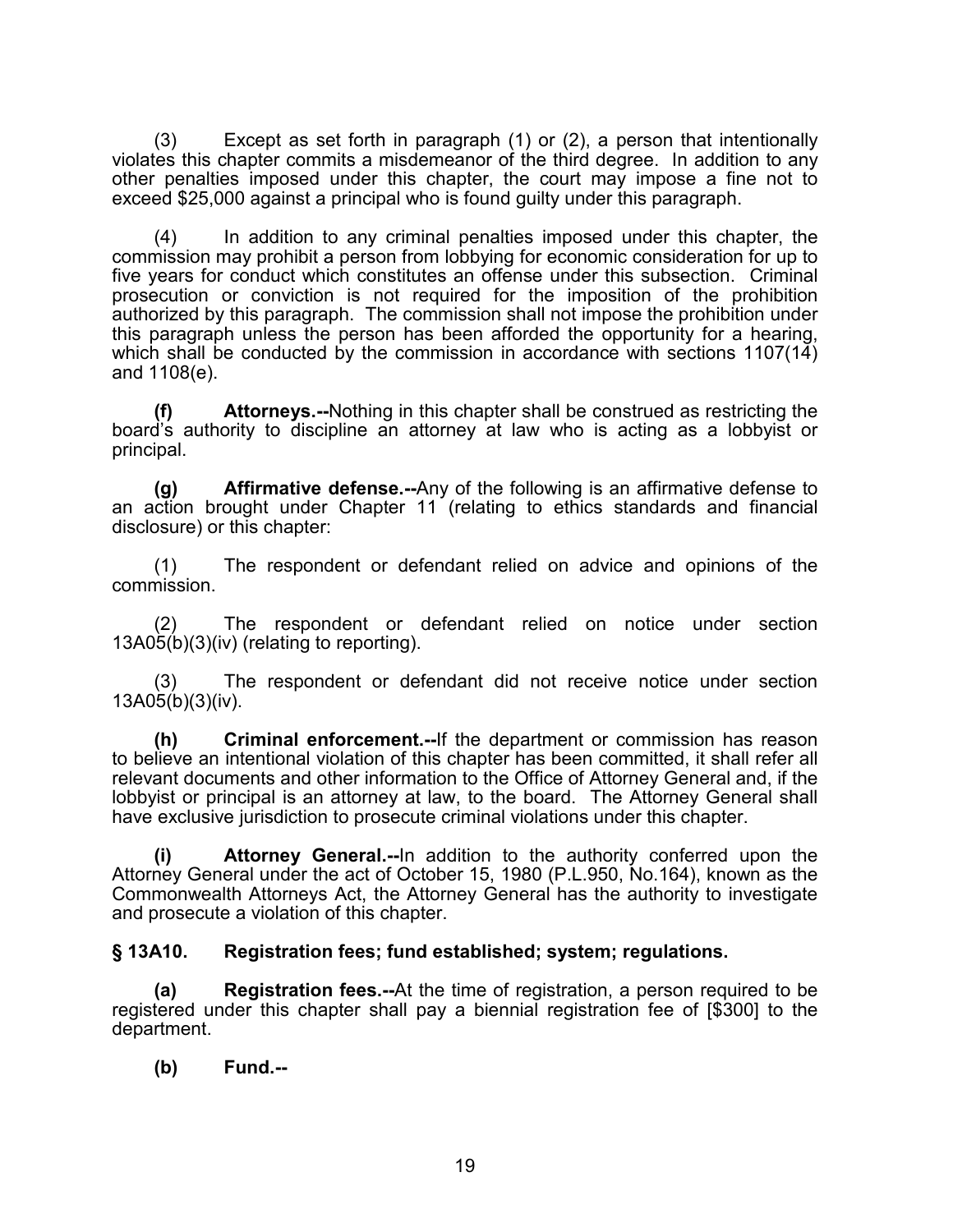(3) Except as set forth in paragraph (1) or (2), a person that intentionally violates this chapter commits a misdemeanor of the third degree. In addition to any other penalties imposed under this chapter, the court may impose a fine not to exceed \$25,000 against a principal who is found guilty under this paragraph.

(4) In addition to any criminal penalties imposed under this chapter, the commission may prohibit a person from lobbying for economic consideration for up to five years for conduct which constitutes an offense under this subsection. Criminal prosecution or conviction is not required for the imposition of the prohibition authorized by this paragraph. The commission shall not impose the prohibition under this paragraph unless the person has been afforded the opportunity for a hearing, which shall be conducted by the commission in accordance with sections  $1107(14)$ and 1108(e).

**(f) Attorneys.--**Nothing in this chapter shall be construed as restricting the board's authority to discipline an attorney at law who is acting as a lobbyist or principal.

**(g) Affirmative defense.--**Any of the following is an affirmative defense to an action brought under Chapter 11 (relating to ethics standards and financial disclosure) or this chapter:

(1) The respondent or defendant relied on advice and opinions of the commission.

The respondent or defendant relied on notice under section 13A05(b)(3)(iv) (relating to reporting).

The respondent or defendant did not receive notice under section  $13A05(b)(3)(iv)$ .

**(h) Criminal enforcement.--**If the department or commission has reason to believe an intentional violation of this chapter has been committed, it shall refer all relevant documents and other information to the Office of Attorney General and, if the lobbyist or principal is an attorney at law, to the board. The Attorney General shall have exclusive jurisdiction to prosecute criminal violations under this chapter.

**(i) Attorney General.--**In addition to the authority conferred upon the Attorney General under the act of October 15, 1980 (P.L.950, No.164), known as the Commonwealth Attorneys Act, the Attorney General has the authority to investigate and prosecute a violation of this chapter.

#### **§ 13A10. Registration fees; fund established; system; regulations.**

**(a) Registration fees.--**At the time of registration, a person required to be registered under this chapter shall pay a biennial registration fee of [\$300] to the department.

#### **(b) Fund.--**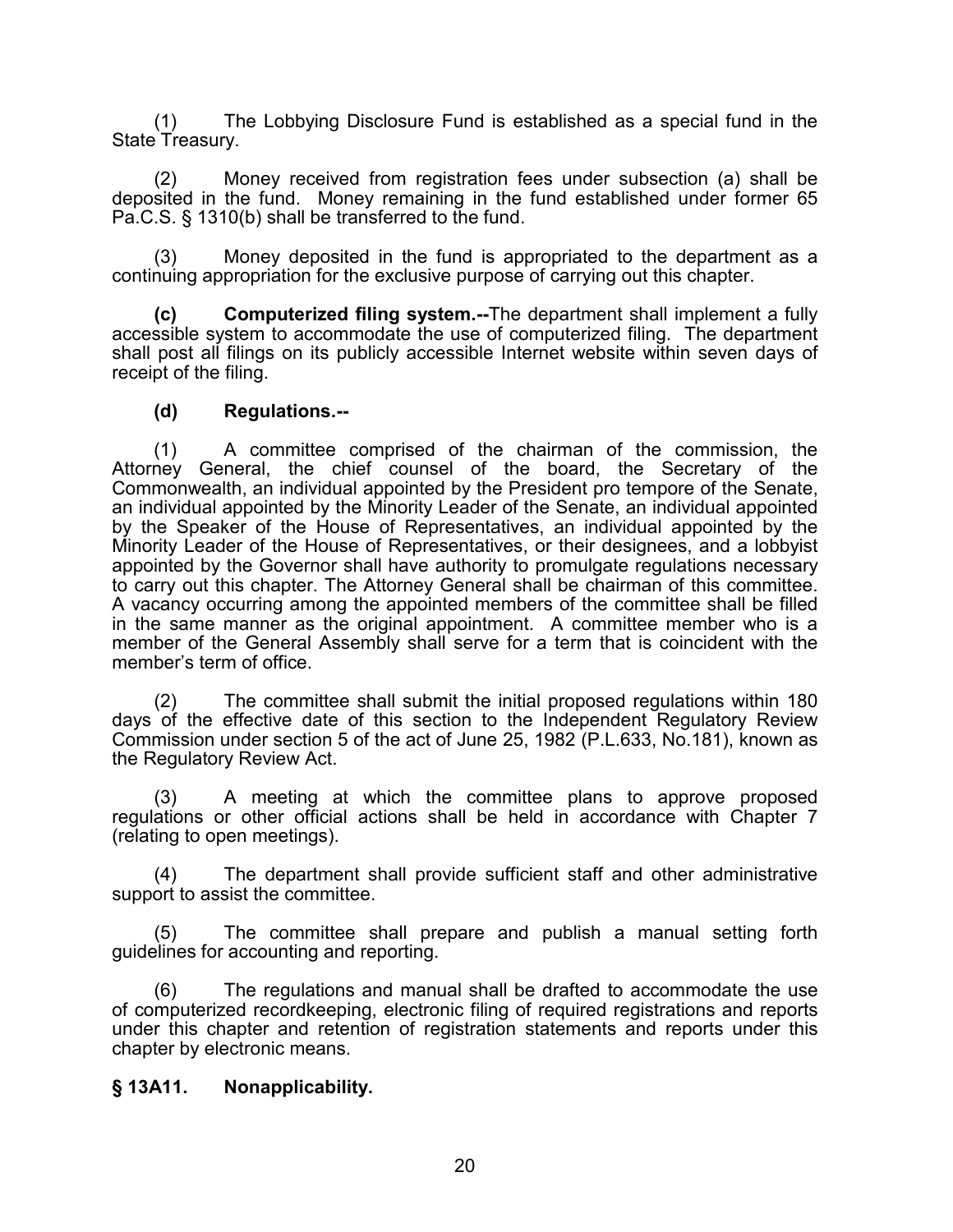(1) The Lobbying Disclosure Fund is established as a special fund in the State Treasury.

(2) Money received from registration fees under subsection (a) shall be deposited in the fund. Money remaining in the fund established under former 65 Pa.C.S. § 1310(b) shall be transferred to the fund.

Money deposited in the fund is appropriated to the department as a continuing appropriation for the exclusive purpose of carrying out this chapter.

**(c) Computerized filing system.--**The department shall implement a fully accessible system to accommodate the use of computerized filing. The department shall post all filings on its publicly accessible Internet website within seven days of receipt of the filing.

#### **(d) Regulations.--**

(1) A committee comprised of the chairman of the commission, the Attorney General, the chief counsel of the board, the Secretary of the Commonwealth, an individual appointed by the President pro tempore of the Senate, an individual appointed by the Minority Leader of the Senate, an individual appointed by the Speaker of the House of Representatives, an individual appointed by the Minority Leader of the House of Representatives, or their designees, and a lobbyist appointed by the Governor shall have authority to promulgate regulations necessary to carry out this chapter. The Attorney General shall be chairman of this committee. A vacancy occurring among the appointed members of the committee shall be filled in the same manner as the original appointment. A committee member who is a member of the General Assembly shall serve for a term that is coincident with the member's term of office.

(2) The committee shall submit the initial proposed regulations within 180 days of the effective date of this section to the Independent Regulatory Review Commission under section 5 of the act of June 25, 1982 (P.L.633, No.181), known as the Regulatory Review Act.

(3) A meeting at which the committee plans to approve proposed regulations or other official actions shall be held in accordance with Chapter 7 (relating to open meetings).

(4) The department shall provide sufficient staff and other administrative support to assist the committee.

(5) The committee shall prepare and publish a manual setting forth guidelines for accounting and reporting.

(6) The regulations and manual shall be drafted to accommodate the use of computerized recordkeeping, electronic filing of required registrations and reports under this chapter and retention of registration statements and reports under this chapter by electronic means.

#### **§ 13A11. Nonapplicability.**

20